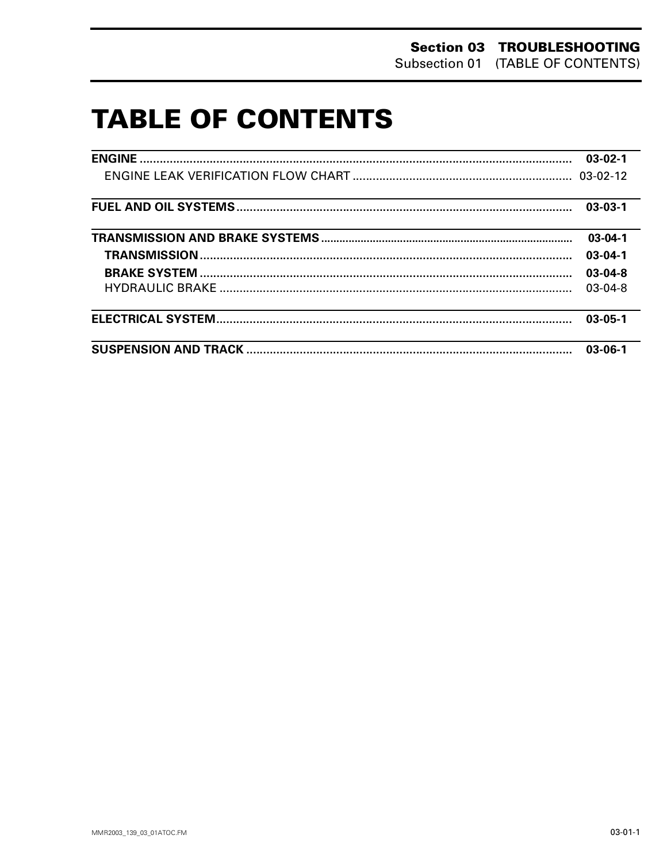# **TABLE OF CONTENTS**

|                                                                                                                       | $03-02-1$     |
|-----------------------------------------------------------------------------------------------------------------------|---------------|
|                                                                                                                       |               |
|                                                                                                                       | $03-03-1$     |
|                                                                                                                       | $03-04-1$     |
|                                                                                                                       | $03 - 04 - 1$ |
|                                                                                                                       | $03 - 04 - 8$ |
|                                                                                                                       | $03-04-8$     |
| <u> 1989 - Johann Harry Harry Harry Harry Harry Harry Harry Harry Harry Harry Harry Harry Harry Harry Harry Harry</u> | $03 - 05 - 1$ |
|                                                                                                                       | $03 - 06 - 1$ |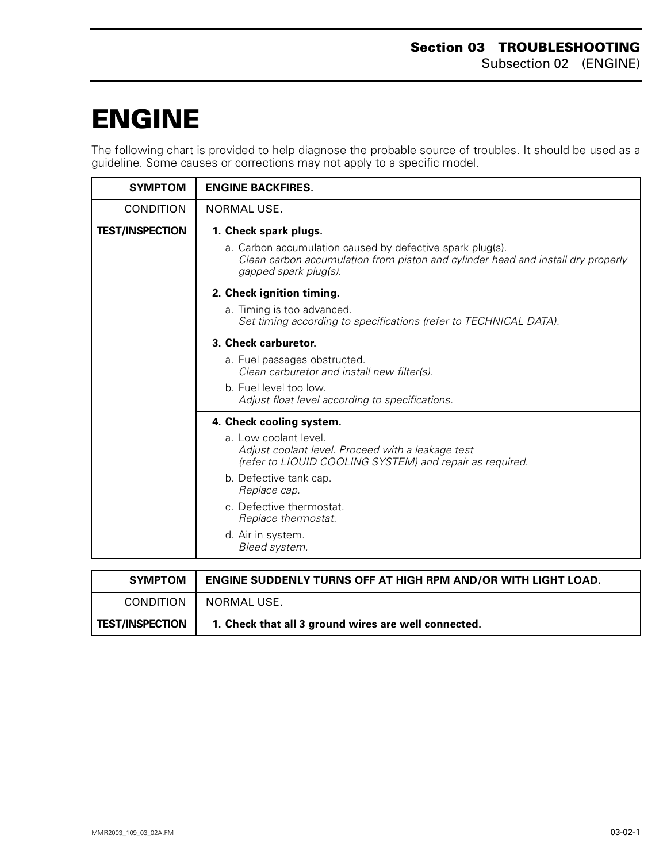## <span id="page-1-0"></span>**ENGINE 0**

The following chart is provided to help diagnose the probable source of troubles. It should be used as a guideline. Some causes or corrections may not apply to a specific model.

| <b>SYMPTOM</b>         | <b>ENGINE BACKFIRES.</b>                                                                                                                                               |
|------------------------|------------------------------------------------------------------------------------------------------------------------------------------------------------------------|
| <b>CONDITION</b>       | NORMAL USE.                                                                                                                                                            |
| <b>TEST/INSPECTION</b> | 1. Check spark plugs.                                                                                                                                                  |
|                        | a. Carbon accumulation caused by defective spark plug(s).<br>Clean carbon accumulation from piston and cylinder head and install dry properly<br>gapped spark plug(s). |
|                        | 2. Check ignition timing.                                                                                                                                              |
|                        | a. Timing is too advanced.<br>Set timing according to specifications (refer to TECHNICAL DATA).                                                                        |
|                        | 3. Check carburetor.                                                                                                                                                   |
|                        | a. Fuel passages obstructed.<br>Clean carburetor and install new filter(s).                                                                                            |
|                        | b. Fuel level too low.<br>Adjust float level according to specifications.                                                                                              |
|                        | 4. Check cooling system.                                                                                                                                               |
|                        | a. Low coolant level.<br>Adjust coolant level. Proceed with a leakage test<br>(refer to LIQUID COOLING SYSTEM) and repair as required.                                 |
|                        | b. Defective tank cap.<br>Replace cap.                                                                                                                                 |
|                        | c. Defective thermostat.<br>Replace thermostat.                                                                                                                        |
|                        | d. Air in system.<br>Bleed system.                                                                                                                                     |
|                        |                                                                                                                                                                        |
| <b>SYMPTOM</b>         | <b>ENGINE SUDDENLY TURNS OFF AT HIGH RPM AND/OR WITH LIGHT LOAD.</b>                                                                                                   |

| <b>SYMPTOM</b>         | <b>ENGINE SUDDENLY TURNS OFF AT HIGH RPM AND/OR WITH LIGHT LOAD.</b> |
|------------------------|----------------------------------------------------------------------|
| <b>CONDITION</b>       | NORMAL USE.                                                          |
| <b>TEST/INSPECTION</b> | 1. Check that all 3 ground wires are well connected.                 |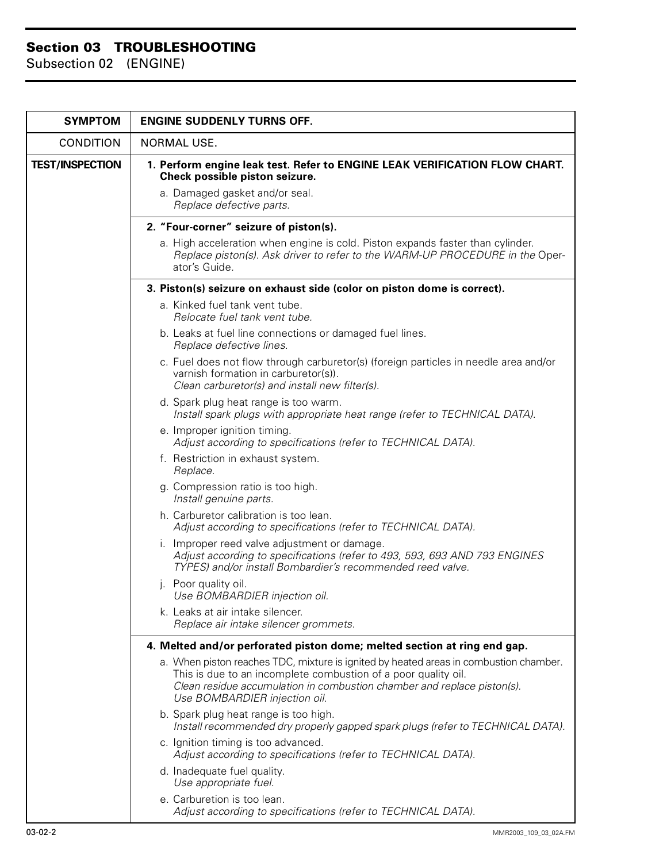| <b>SYMPTOM</b>         | <b>ENGINE SUDDENLY TURNS OFF.</b>                                                                                                                                                                                                                                   |
|------------------------|---------------------------------------------------------------------------------------------------------------------------------------------------------------------------------------------------------------------------------------------------------------------|
| <b>CONDITION</b>       | NORMAL USE.                                                                                                                                                                                                                                                         |
| <b>TEST/INSPECTION</b> | 1. Perform engine leak test. Refer to ENGINE LEAK VERIFICATION FLOW CHART.<br>Check possible piston seizure.                                                                                                                                                        |
|                        | a. Damaged gasket and/or seal.<br>Replace defective parts.                                                                                                                                                                                                          |
|                        | 2. "Four-corner" seizure of piston(s).                                                                                                                                                                                                                              |
|                        | a. High acceleration when engine is cold. Piston expands faster than cylinder.<br>Replace piston(s). Ask driver to refer to the WARM-UP PROCEDURE in the Oper-<br>ator's Guide.                                                                                     |
|                        | 3. Piston(s) seizure on exhaust side (color on piston dome is correct).                                                                                                                                                                                             |
|                        | a. Kinked fuel tank vent tube.<br>Relocate fuel tank vent tube.                                                                                                                                                                                                     |
|                        | b. Leaks at fuel line connections or damaged fuel lines.<br>Replace defective lines.                                                                                                                                                                                |
|                        | c. Fuel does not flow through carburetor(s) (foreign particles in needle area and/or<br>varnish formation in carburetor(s)).<br>Clean carburetor(s) and install new filter(s).                                                                                      |
|                        | d. Spark plug heat range is too warm.<br>Install spark plugs with appropriate heat range (refer to TECHNICAL DATA).                                                                                                                                                 |
|                        | e. Improper ignition timing.<br>Adjust according to specifications (refer to TECHNICAL DATA).                                                                                                                                                                       |
|                        | f. Restriction in exhaust system.<br>Replace.                                                                                                                                                                                                                       |
|                        | g. Compression ratio is too high.<br>Install genuine parts.                                                                                                                                                                                                         |
|                        | h. Carburetor calibration is too lean.<br>Adjust according to specifications (refer to TECHNICAL DATA).                                                                                                                                                             |
|                        | i. Improper reed valve adjustment or damage.<br>Adjust according to specifications (refer to 493, 593, 693 AND 793 ENGINES<br>TYPES) and/or install Bombardier's recommended reed valve.                                                                            |
|                        | j. Poor quality oil.<br>Use BOMBARDIER injection oil.                                                                                                                                                                                                               |
|                        | k. Leaks at air intake silencer.<br>Replace air intake silencer grommets.                                                                                                                                                                                           |
|                        | 4. Melted and/or perforated piston dome; melted section at ring end gap.                                                                                                                                                                                            |
|                        | a. When piston reaches TDC, mixture is ignited by heated areas in combustion chamber.<br>This is due to an incomplete combustion of a poor quality oil.<br>Clean residue accumulation in combustion chamber and replace piston(s).<br>Use BOMBARDIER injection oil. |
|                        | b. Spark plug heat range is too high.<br>Install recommended dry properly gapped spark plugs (refer to TECHNICAL DATA).                                                                                                                                             |
|                        | c. Ignition timing is too advanced.<br>Adjust according to specifications (refer to TECHNICAL DATA).                                                                                                                                                                |
|                        | d. Inadequate fuel quality.<br>Use appropriate fuel.                                                                                                                                                                                                                |
|                        | e. Carburetion is too lean.<br>Adjust according to specifications (refer to TECHNICAL DATA).                                                                                                                                                                        |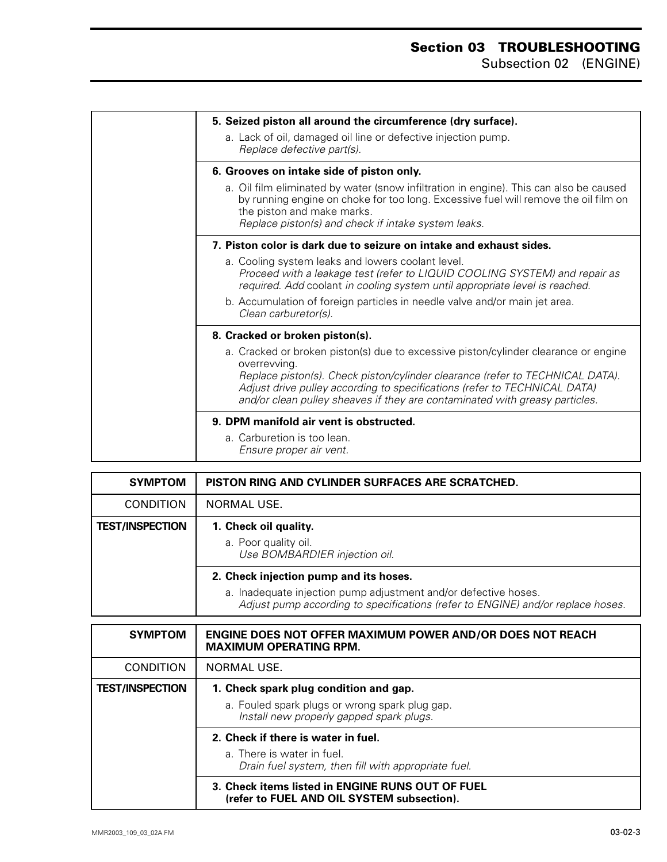| 5. Seized piston all around the circumference (dry surface).                                                                                                                                                                                                                                                                                     |
|--------------------------------------------------------------------------------------------------------------------------------------------------------------------------------------------------------------------------------------------------------------------------------------------------------------------------------------------------|
| a. Lack of oil, damaged oil line or defective injection pump.<br>Replace defective part(s).                                                                                                                                                                                                                                                      |
| 6. Grooves on intake side of piston only.                                                                                                                                                                                                                                                                                                        |
| a. Oil film eliminated by water (snow infiltration in engine). This can also be caused<br>by running engine on choke for too long. Excessive fuel will remove the oil film on<br>the piston and make marks.<br>Replace piston(s) and check if intake system leaks.                                                                               |
| 7. Piston color is dark due to seizure on intake and exhaust sides.                                                                                                                                                                                                                                                                              |
| a. Cooling system leaks and lowers coolant level.<br>Proceed with a leakage test (refer to LIQUID COOLING SYSTEM) and repair as<br>required. Add coolant in cooling system until appropriate level is reached.                                                                                                                                   |
| b. Accumulation of foreign particles in needle valve and/or main jet area.<br>Clean carburetor(s).                                                                                                                                                                                                                                               |
| 8. Cracked or broken piston(s).                                                                                                                                                                                                                                                                                                                  |
| a. Cracked or broken piston(s) due to excessive piston/cylinder clearance or engine<br>overrevving.<br>Replace piston(s). Check piston/cylinder clearance (refer to TECHNICAL DATA).<br>Adjust drive pulley according to specifications (refer to TECHNICAL DATA)<br>and/or clean pulley sheaves if they are contaminated with greasy particles. |
| 9. DPM manifold air vent is obstructed.                                                                                                                                                                                                                                                                                                          |
| a. Carburetion is too lean.<br>Ensure proper air vent.                                                                                                                                                                                                                                                                                           |

| <b>SYMPTOM</b>         | PISTON RING AND CYLINDER SURFACES ARE SCRATCHED.                                                                                                   |
|------------------------|----------------------------------------------------------------------------------------------------------------------------------------------------|
| <b>CONDITION</b>       | NORMAL USE.                                                                                                                                        |
| <b>TEST/INSPECTION</b> | 1. Check oil quality.                                                                                                                              |
|                        | a. Poor quality oil.<br>Use BOMBARDIER injection oil.                                                                                              |
|                        | 2. Check injection pump and its hoses.                                                                                                             |
|                        | a. Inadequate injection pump adjustment and/or defective hoses.<br>Adjust pump according to specifications (refer to ENGINE) and/or replace hoses. |

| <b>SYMPTOM</b>         | <b>ENGINE DOES NOT OFFER MAXIMUM POWER AND/OR DOES NOT REACH</b><br><b>MAXIMUM OPERATING RPM.</b> |
|------------------------|---------------------------------------------------------------------------------------------------|
| <b>CONDITION</b>       | NORMAL USE.                                                                                       |
| <b>TEST/INSPECTION</b> | 1. Check spark plug condition and gap.                                                            |
|                        | a. Fouled spark plugs or wrong spark plug gap.<br>Install new properly gapped spark plugs.        |
|                        | 2. Check if there is water in fuel.                                                               |
|                        | a. There is water in fuel.<br>Drain fuel system, then fill with appropriate fuel.                 |
|                        | 3. Check items listed in ENGINE RUNS OUT OF FUEL<br>(refer to FUEL AND OIL SYSTEM subsection).    |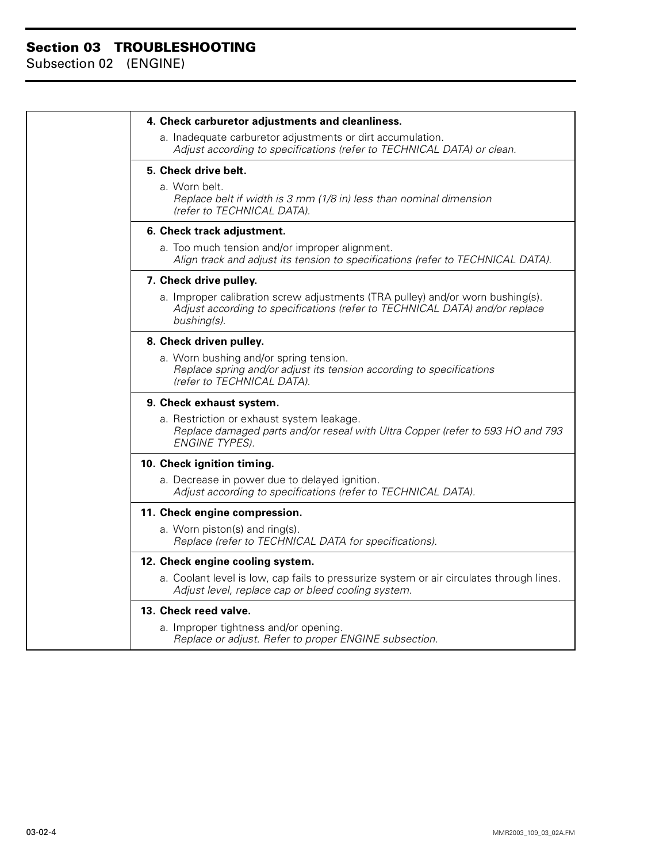| 4. Check carburetor adjustments and cleanliness.                                                                                                                             |
|------------------------------------------------------------------------------------------------------------------------------------------------------------------------------|
| a. Inadequate carburetor adjustments or dirt accumulation.<br>Adjust according to specifications (refer to TECHNICAL DATA) or clean.                                         |
| 5. Check drive belt.<br>a. Worn belt.<br>Replace belt if width is 3 mm (1/8 in) less than nominal dimension<br>(refer to TECHNICAL DATA).                                    |
| 6. Check track adjustment.                                                                                                                                                   |
| a. Too much tension and/or improper alignment.<br>Align track and adjust its tension to specifications (refer to TECHNICAL DATA).                                            |
| 7. Check drive pulley.                                                                                                                                                       |
| a. Improper calibration screw adjustments (TRA pulley) and/or worn bushing(s).<br>Adjust according to specifications (refer to TECHNICAL DATA) and/or replace<br>bushing(s). |
| 8. Check driven pulley.                                                                                                                                                      |
| a. Worn bushing and/or spring tension.<br>Replace spring and/or adjust its tension according to specifications<br>(refer to TECHNICAL DATA).                                 |
| 9. Check exhaust system.                                                                                                                                                     |
| a. Restriction or exhaust system leakage.<br>Replace damaged parts and/or reseal with Ultra Copper (refer to 593 HO and 793<br><b>ENGINE TYPES).</b>                         |
| 10. Check ignition timing.                                                                                                                                                   |
| a. Decrease in power due to delayed ignition.<br>Adjust according to specifications (refer to TECHNICAL DATA).                                                               |
| 11. Check engine compression.                                                                                                                                                |
| a. Worn piston(s) and ring(s).<br>Replace (refer to TECHNICAL DATA for specifications).                                                                                      |
| 12. Check engine cooling system.                                                                                                                                             |
| a. Coolant level is low, cap fails to pressurize system or air circulates through lines.<br>Adjust level, replace cap or bleed cooling system.                               |
| 13. Check reed valve.                                                                                                                                                        |
| a. Improper tightness and/or opening.<br>Replace or adjust. Refer to proper ENGINE subsection.                                                                               |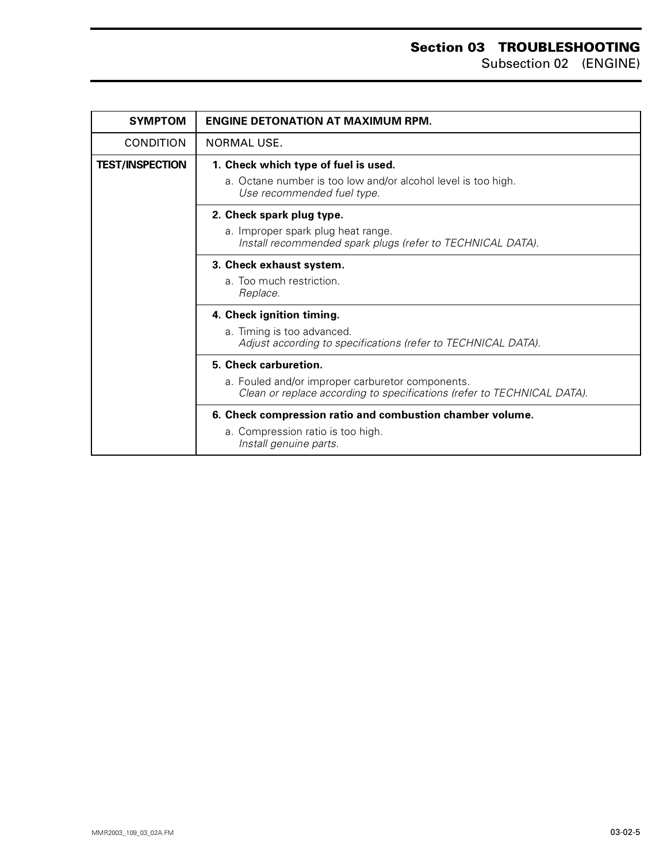| <b>SYMPTOM</b>         | <b>ENGINE DETONATION AT MAXIMUM RPM.</b>                                                                                    |
|------------------------|-----------------------------------------------------------------------------------------------------------------------------|
| <b>CONDITION</b>       | NORMAL USE.                                                                                                                 |
| <b>TEST/INSPECTION</b> | 1. Check which type of fuel is used.                                                                                        |
|                        | a. Octane number is too low and/or alcohol level is too high.<br>Use recommended fuel type.                                 |
|                        | 2. Check spark plug type.                                                                                                   |
|                        | a. Improper spark plug heat range.<br>Install recommended spark plugs (refer to TECHNICAL DATA).                            |
|                        | 3. Check exhaust system.                                                                                                    |
|                        | a. Too much restriction.<br>Replace.                                                                                        |
|                        | 4. Check ignition timing.                                                                                                   |
|                        | a. Timing is too advanced.<br>Adjust according to specifications (refer to TECHNICAL DATA).                                 |
|                        | 5. Check carburetion.                                                                                                       |
|                        | a. Fouled and/or improper carburetor components.<br>Clean or replace according to specifications (refer to TECHNICAL DATA). |
|                        | 6. Check compression ratio and combustion chamber volume.                                                                   |
|                        | a. Compression ratio is too high.<br>Install genuine parts.                                                                 |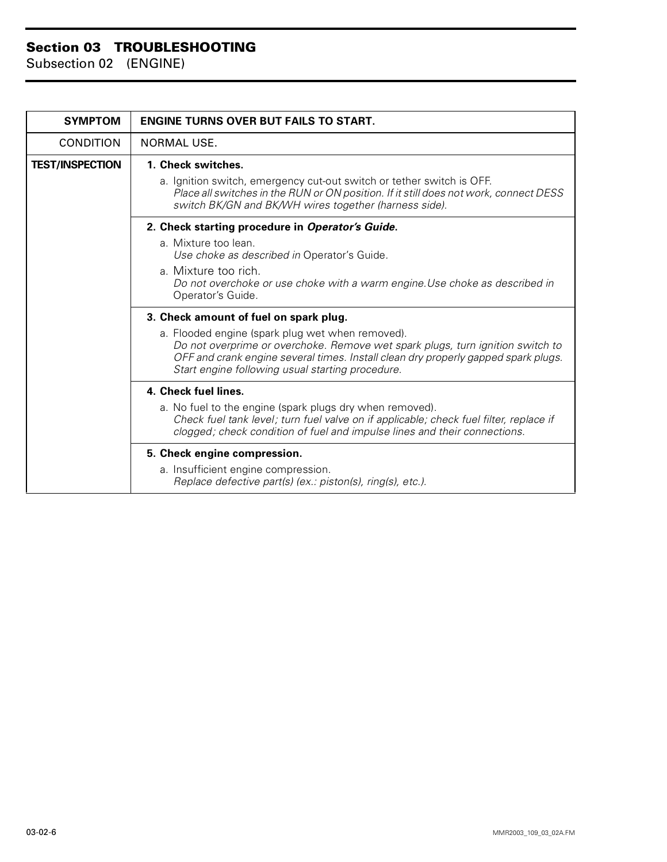| <b>SYMPTOM</b>         | <b>ENGINE TURNS OVER BUT FAILS TO START.</b>                                                                                                                                                                                                                                 |
|------------------------|------------------------------------------------------------------------------------------------------------------------------------------------------------------------------------------------------------------------------------------------------------------------------|
| <b>CONDITION</b>       | NORMAL USE.                                                                                                                                                                                                                                                                  |
| <b>TEST/INSPECTION</b> | 1. Check switches.                                                                                                                                                                                                                                                           |
|                        | a. Ignition switch, emergency cut-out switch or tether switch is OFF.<br>Place all switches in the RUN or ON position. If it still does not work, connect DESS<br>switch BK/GN and BK/WH wires together (harness side).                                                      |
|                        | 2. Check starting procedure in Operator's Guide.                                                                                                                                                                                                                             |
|                        | a. Mixture too lean.<br>Use choke as described in Operator's Guide.                                                                                                                                                                                                          |
|                        | a. Mixture too rich.<br>Do not overchoke or use choke with a warm engine. Use choke as described in<br>Operator's Guide.                                                                                                                                                     |
|                        | 3. Check amount of fuel on spark plug.                                                                                                                                                                                                                                       |
|                        | a. Flooded engine (spark plug wet when removed).<br>Do not overprime or overchoke. Remove wet spark plugs, turn ignition switch to<br>OFF and crank engine several times. Install clean dry properly gapped spark plugs.<br>Start engine following usual starting procedure. |
|                        | 4. Check fuel lines.                                                                                                                                                                                                                                                         |
|                        | a. No fuel to the engine (spark plugs dry when removed).<br>Check fuel tank level; turn fuel valve on if applicable; check fuel filter, replace if<br>clogged; check condition of fuel and impulse lines and their connections.                                              |
|                        | 5. Check engine compression.                                                                                                                                                                                                                                                 |
|                        | a. Insufficient engine compression.<br>Replace defective part(s) (ex.: piston(s), ring(s), etc.).                                                                                                                                                                            |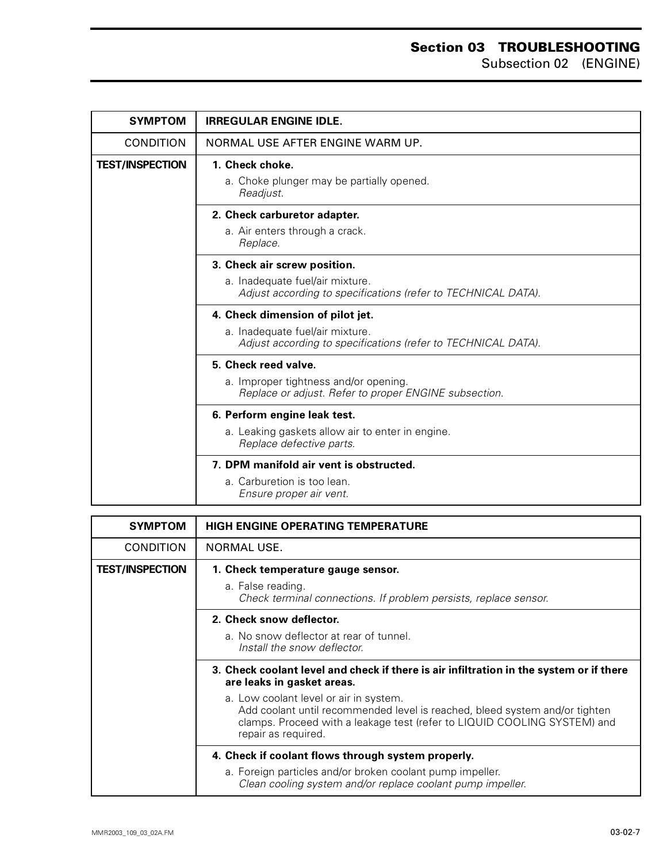### **Section 03 TROUBLESHOOTING** Subsection 02 (ENGINE)

| <b>SYMPTOM</b>         | <b>IRREGULAR ENGINE IDLE.</b>                                                                    |
|------------------------|--------------------------------------------------------------------------------------------------|
| <b>CONDITION</b>       | NORMAL USE AFTER ENGINE WARM UP.                                                                 |
| <b>TEST/INSPECTION</b> | 1. Check choke.                                                                                  |
|                        | a. Choke plunger may be partially opened.<br>Readjust.                                           |
|                        | 2. Check carburetor adapter.                                                                     |
|                        | a. Air enters through a crack.<br>Replace.                                                       |
|                        | 3. Check air screw position.                                                                     |
|                        | a. Inadequate fuel/air mixture.<br>Adjust according to specifications (refer to TECHNICAL DATA). |
|                        | 4. Check dimension of pilot jet.                                                                 |
|                        | a. Inadequate fuel/air mixture.<br>Adjust according to specifications (refer to TECHNICAL DATA). |
|                        | 5. Check reed valve.                                                                             |
|                        | a. Improper tightness and/or opening.<br>Replace or adjust. Refer to proper ENGINE subsection.   |
|                        | 6. Perform engine leak test.                                                                     |
|                        | a. Leaking gaskets allow air to enter in engine.<br>Replace defective parts.                     |
|                        | 7. DPM manifold air vent is obstructed.                                                          |
|                        | a. Carburetion is too lean.<br>Ensure proper air vent.                                           |

| <b>SYMPTOM</b>         | <b>HIGH ENGINE OPERATING TEMPERATURE</b>                                                                                                                                                                                 |
|------------------------|--------------------------------------------------------------------------------------------------------------------------------------------------------------------------------------------------------------------------|
| <b>CONDITION</b>       | NORMAL USE.                                                                                                                                                                                                              |
| <b>TEST/INSPECTION</b> | 1. Check temperature gauge sensor.                                                                                                                                                                                       |
|                        | a. False reading.<br>Check terminal connections. If problem persists, replace sensor.                                                                                                                                    |
|                        | 2. Check snow deflector.                                                                                                                                                                                                 |
|                        | a. No snow deflector at rear of tunnel.<br>Install the snow deflector.                                                                                                                                                   |
|                        | 3. Check coolant level and check if there is air infiltration in the system or if there<br>are leaks in gasket areas.                                                                                                    |
|                        | a. Low coolant level or air in system.<br>Add coolant until recommended level is reached, bleed system and/or tighten<br>clamps. Proceed with a leakage test (refer to LIQUID COOLING SYSTEM) and<br>repair as required. |
|                        | 4. Check if coolant flows through system properly.                                                                                                                                                                       |
|                        | a. Foreign particles and/or broken coolant pump impeller.<br>Clean cooling system and/or replace coolant pump impeller.                                                                                                  |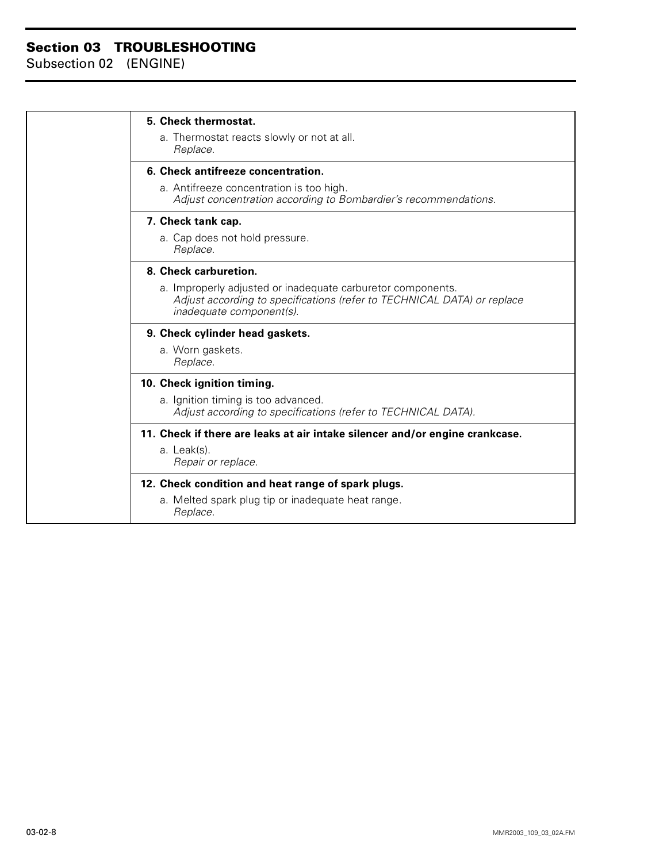| 5. Check thermostat.                                                                                                                                               |
|--------------------------------------------------------------------------------------------------------------------------------------------------------------------|
| a. Thermostat reacts slowly or not at all.<br>Replace.                                                                                                             |
| 6. Check antifreeze concentration.                                                                                                                                 |
| a. Antifreeze concentration is too high.<br>Adjust concentration according to Bombardier's recommendations.                                                        |
| 7. Check tank cap.                                                                                                                                                 |
| a. Cap does not hold pressure.<br>Replace.                                                                                                                         |
| 8. Check carburetion.                                                                                                                                              |
| a. Improperly adjusted or inadequate carburetor components.<br>Adjust according to specifications (refer to TECHNICAL DATA) or replace<br>inadequate component(s). |
| 9. Check cylinder head gaskets.                                                                                                                                    |
| a. Worn gaskets.<br>Replace.                                                                                                                                       |
| 10. Check ignition timing.                                                                                                                                         |
| a. Ignition timing is too advanced.<br>Adjust according to specifications (refer to TECHNICAL DATA).                                                               |
| 11. Check if there are leaks at air intake silencer and/or engine crankcase.                                                                                       |
| a. Leak(s).<br>Repair or replace.                                                                                                                                  |
| 12. Check condition and heat range of spark plugs.                                                                                                                 |
| a. Melted spark plug tip or inadequate heat range.<br>Replace.                                                                                                     |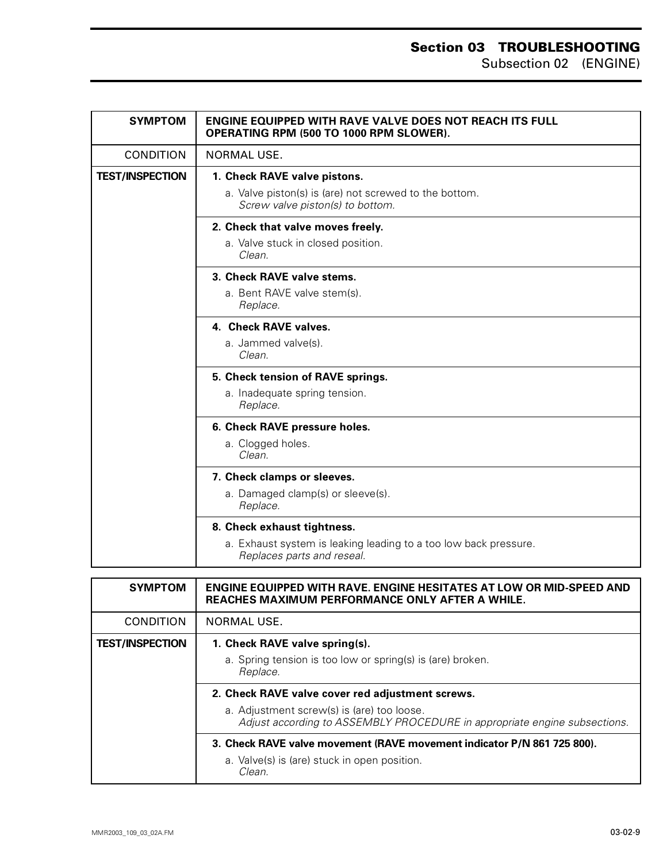| <b>SYMPTOM</b>         | <b>ENGINE EQUIPPED WITH RAVE VALVE DOES NOT REACH ITS FULL</b><br>OPERATING RPM (500 TO 1000 RPM SLOWER). |
|------------------------|-----------------------------------------------------------------------------------------------------------|
| <b>CONDITION</b>       | <b>NORMAL USE.</b>                                                                                        |
| <b>TEST/INSPECTION</b> | 1. Check RAVE valve pistons.                                                                              |
|                        | a. Valve piston(s) is (are) not screwed to the bottom.<br>Screw valve piston(s) to bottom.                |
|                        | 2. Check that valve moves freely.                                                                         |
|                        | a. Valve stuck in closed position.<br>Clean.                                                              |
|                        | 3. Check RAVE valve stems.                                                                                |
|                        | a. Bent RAVE valve stem(s).<br>Replace.                                                                   |
|                        | 4. Check RAVE valves.                                                                                     |
|                        | a. Jammed valve(s).<br>Clean.                                                                             |
|                        | 5. Check tension of RAVE springs.                                                                         |
|                        | a. Inadequate spring tension.<br>Replace.                                                                 |
|                        | 6. Check RAVE pressure holes.                                                                             |
|                        | a. Clogged holes.<br>Clean.                                                                               |
|                        | 7. Check clamps or sleeves.                                                                               |
|                        | a. Damaged clamp(s) or sleeve(s).<br>Replace.                                                             |
|                        | 8. Check exhaust tightness.                                                                               |
|                        | a. Exhaust system is leaking leading to a too low back pressure.<br>Replaces parts and reseal.            |

| <b>SYMPTOM</b>         | ENGINE EQUIPPED WITH RAVE. ENGINE HESITATES AT LOW OR MID-SPEED AND<br><b>REACHES MAXIMUM PERFORMANCE ONLY AFTER A WHILE.</b> |
|------------------------|-------------------------------------------------------------------------------------------------------------------------------|
| <b>CONDITION</b>       | NORMAL USE.                                                                                                                   |
| <b>TEST/INSPECTION</b> | 1. Check RAVE valve spring(s).                                                                                                |
|                        | a. Spring tension is too low or spring(s) is (are) broken.<br>Replace.                                                        |
|                        | 2. Check RAVE valve cover red adjustment screws.                                                                              |
|                        | a. Adjustment screw(s) is (are) too loose.<br>Adjust according to ASSEMBLY PROCEDURE in appropriate engine subsections.       |
|                        | 3. Check RAVE valve movement (RAVE movement indicator P/N 861 725 800).                                                       |
|                        | a. Valve(s) is (are) stuck in open position.<br>Clean.                                                                        |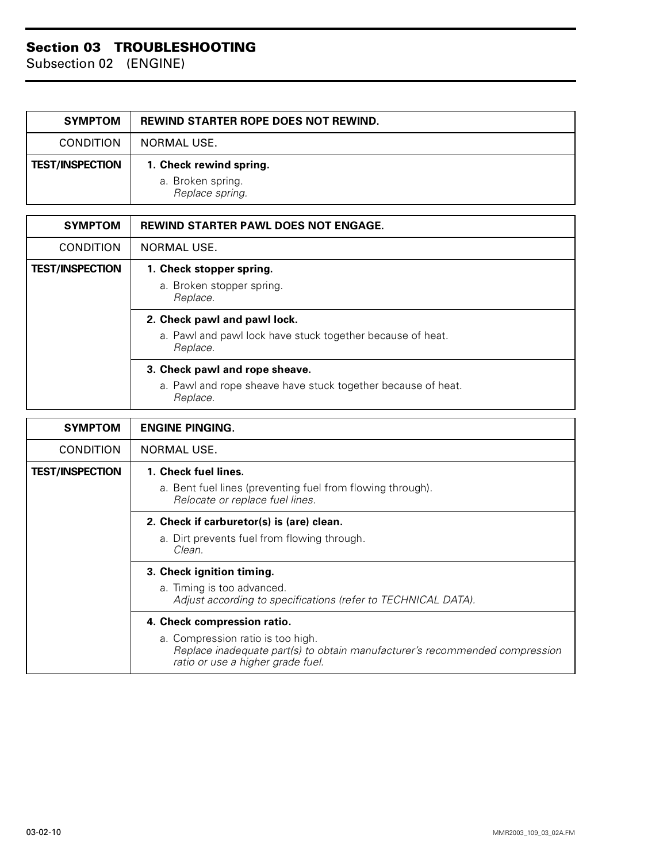| <b>SYMPTOM</b>         | <b>REWIND STARTER ROPE DOES NOT REWIND.</b>                     |
|------------------------|-----------------------------------------------------------------|
| <b>CONDITION</b>       | NORMAL USE.                                                     |
| <b>TEST/INSPECTION</b> | 1. Check rewind spring.<br>a. Broken spring.<br>Replace spring. |

| <b>SYMPTOM</b>         | <b>REWIND STARTER PAWL DOES NOT ENGAGE.</b>                              |
|------------------------|--------------------------------------------------------------------------|
| <b>CONDITION</b>       | NORMAL USE.                                                              |
| <b>TEST/INSPECTION</b> | 1. Check stopper spring.                                                 |
|                        | a. Broken stopper spring.<br>Replace.                                    |
|                        | 2. Check pawl and pawl lock.                                             |
|                        | a. Pawl and pawl lock have stuck together because of heat.<br>Replace.   |
|                        | 3. Check pawl and rope sheave.                                           |
|                        | a. Pawl and rope sheave have stuck together because of heat.<br>Replace. |

| <b>SYMPTOM</b>         | <b>ENGINE PINGING.</b>                                                                                                                                |
|------------------------|-------------------------------------------------------------------------------------------------------------------------------------------------------|
| <b>CONDITION</b>       | NORMAL USE.                                                                                                                                           |
| <b>TEST/INSPECTION</b> | 1. Check fuel lines.                                                                                                                                  |
|                        | a. Bent fuel lines (preventing fuel from flowing through).<br>Relocate or replace fuel lines.                                                         |
|                        | 2. Check if carburetor(s) is (are) clean.                                                                                                             |
|                        | a. Dirt prevents fuel from flowing through.<br>Clean.                                                                                                 |
|                        | 3. Check ignition timing.                                                                                                                             |
|                        | a. Timing is too advanced.<br>Adjust according to specifications (refer to TECHNICAL DATA).                                                           |
|                        | 4. Check compression ratio.                                                                                                                           |
|                        | a. Compression ratio is too high.<br>Replace inadequate part(s) to obtain manufacturer's recommended compression<br>ratio or use a higher grade fuel. |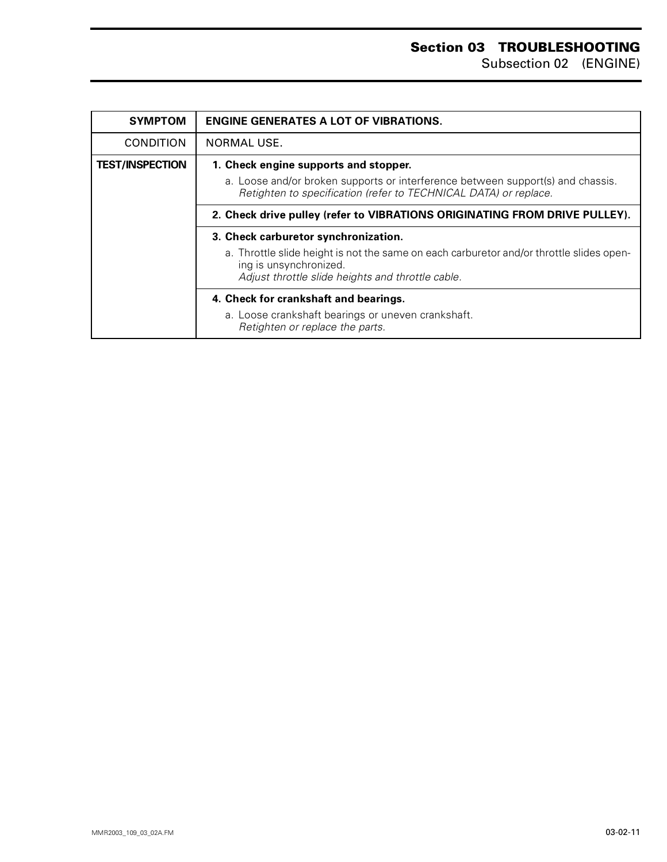| <b>SYMPTOM</b>         | <b>ENGINE GENERATES A LOT OF VIBRATIONS.</b>                                                                                                                                                 |
|------------------------|----------------------------------------------------------------------------------------------------------------------------------------------------------------------------------------------|
| <b>CONDITION</b>       | NORMAL USE.                                                                                                                                                                                  |
| <b>TEST/INSPECTION</b> | 1. Check engine supports and stopper.<br>a. Loose and/or broken supports or interference between support(s) and chassis.<br>Retighten to specification (refer to TECHNICAL DATA) or replace. |
|                        | 2. Check drive pulley (refer to VIBRATIONS ORIGINATING FROM DRIVE PULLEY).                                                                                                                   |
|                        | 3. Check carburetor synchronization.                                                                                                                                                         |
|                        | a. Throttle slide height is not the same on each carburetor and/or throttle slides open-<br>ing is unsynchronized.<br>Adjust throttle slide heights and throttle cable.                      |
|                        | 4. Check for crankshaft and bearings.                                                                                                                                                        |
|                        | a. Loose crankshaft bearings or uneven crankshaft.<br>Retighten or replace the parts.                                                                                                        |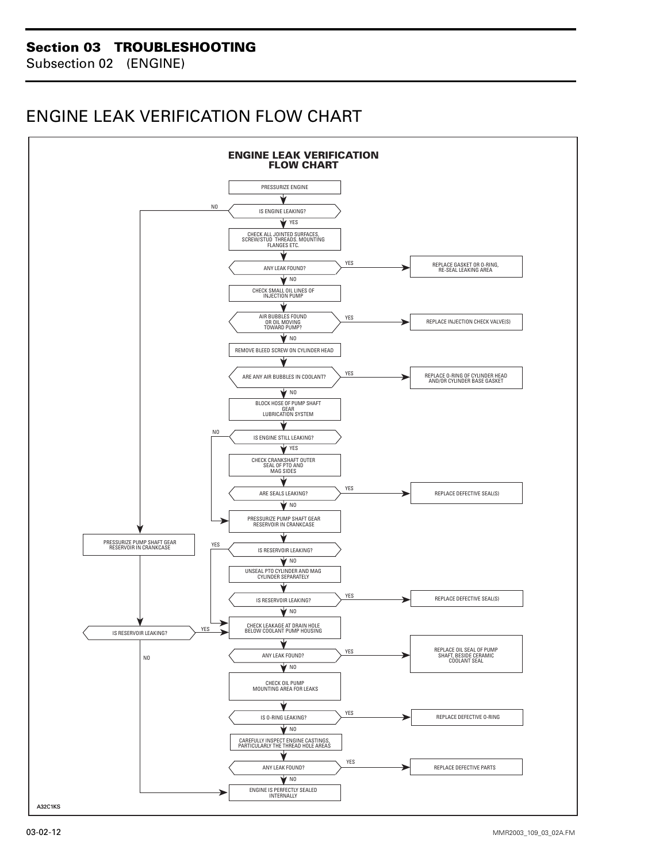## <span id="page-12-0"></span>**ENGINE LEAK VERIFICATION FLOW CHART**

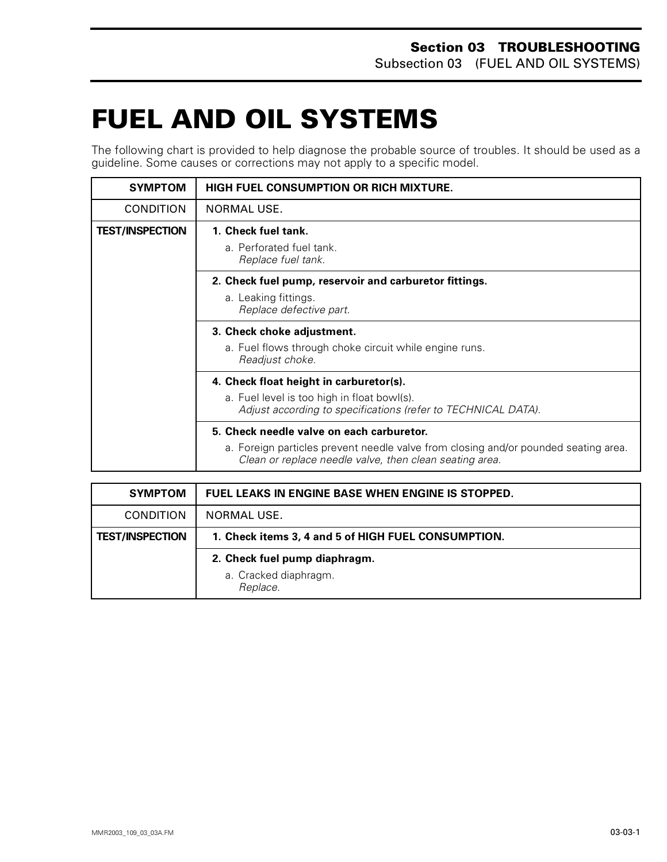## <span id="page-13-0"></span>**FUEL AND OIL SYSTEMS 0**

The following chart is provided to help diagnose the probable source of troubles. It should be used as a guideline. Some causes or corrections may not apply to a specific model.

| <b>SYMPTOM</b>         | <b>HIGH FUEL CONSUMPTION OR RICH MIXTURE.</b>                                                                                                                                               |
|------------------------|---------------------------------------------------------------------------------------------------------------------------------------------------------------------------------------------|
| <b>CONDITION</b>       | NORMAL USE.                                                                                                                                                                                 |
| <b>TEST/INSPECTION</b> | 1. Check fuel tank.<br>a. Perforated fuel tank.<br>Replace fuel tank.                                                                                                                       |
|                        | 2. Check fuel pump, reservoir and carburetor fittings.<br>a. Leaking fittings.<br>Replace defective part.                                                                                   |
|                        | 3. Check choke adjustment.<br>a. Fuel flows through choke circuit while engine runs.<br>Readjust choke.                                                                                     |
|                        | 4. Check float height in carburetor(s).<br>a. Fuel level is too high in float bowl(s).<br>Adjust according to specifications (refer to TECHNICAL DATA).                                     |
|                        | 5. Check needle valve on each carburetor.<br>a. Foreign particles prevent needle valve from closing and/or pounded seating area.<br>Clean or replace needle valve, then clean seating area. |

| <b>SYMPTOM</b>         | FUEL LEAKS IN ENGINE BASE WHEN ENGINE IS STOPPED.      |
|------------------------|--------------------------------------------------------|
| <b>CONDITION</b>       | NORMAL USE.                                            |
| <b>TEST/INSPECTION</b> | 1. Check items 3, 4 and 5 of HIGH FUEL CONSUMPTION.    |
|                        | 2. Check fuel pump diaphragm.<br>a. Cracked diaphragm. |
|                        | Replace.                                               |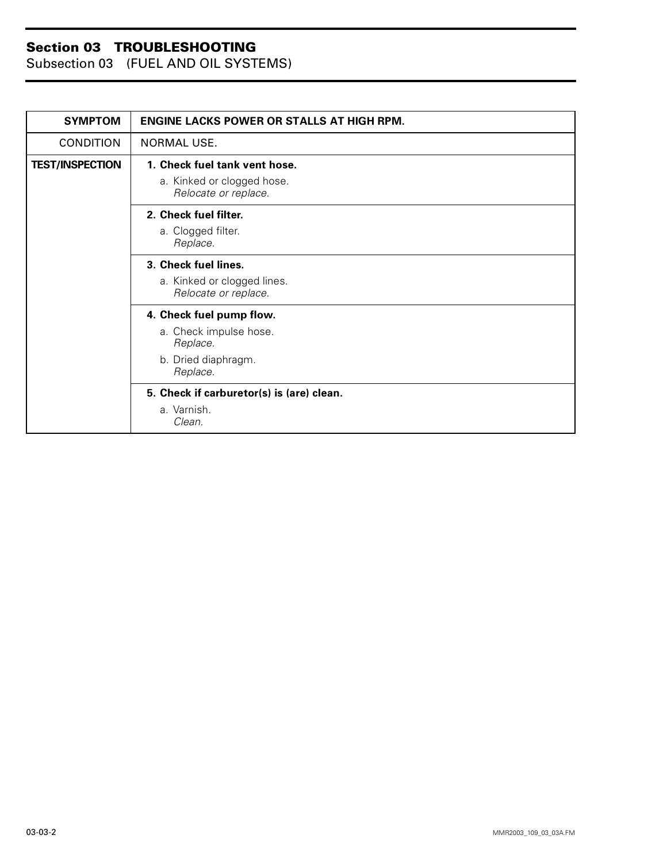Subsection 03 (FUEL AND OIL SYSTEMS)

| <b>SYMPTOM</b>         | <b>ENGINE LACKS POWER OR STALLS AT HIGH RPM.</b>    |
|------------------------|-----------------------------------------------------|
| <b>CONDITION</b>       | NORMAL USE.                                         |
| <b>TEST/INSPECTION</b> | 1. Check fuel tank vent hose.                       |
|                        | a. Kinked or clogged hose.<br>Relocate or replace.  |
|                        | 2. Check fuel filter.                               |
|                        | a. Clogged filter.<br>Replace.                      |
|                        | 3. Check fuel lines.                                |
|                        | a. Kinked or clogged lines.<br>Relocate or replace. |
|                        | 4. Check fuel pump flow.                            |
|                        | a. Check impulse hose.<br>Replace.                  |
|                        | b. Dried diaphragm.<br>Replace.                     |
|                        | 5. Check if carburetor(s) is (are) clean.           |
|                        | a. Varnish.<br>Clean.                               |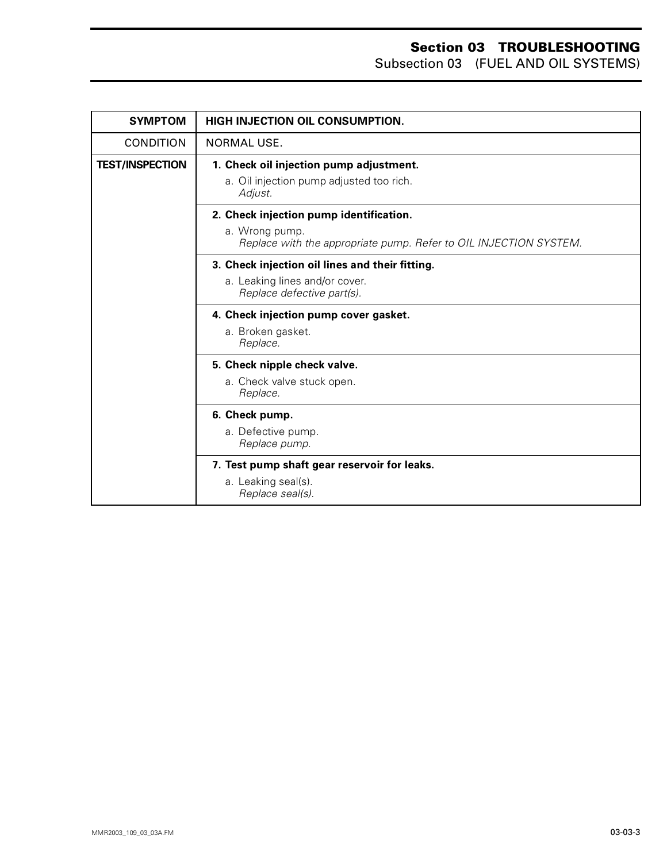Subsection 03 (FUEL AND OIL SYSTEMS)

| <b>SYMPTOM</b>         | HIGH INJECTION OIL CONSUMPTION.                                                                                                |
|------------------------|--------------------------------------------------------------------------------------------------------------------------------|
| <b>CONDITION</b>       | NORMAL USE.                                                                                                                    |
| <b>TEST/INSPECTION</b> | 1. Check oil injection pump adjustment.<br>a. Oil injection pump adjusted too rich.<br>Adjust.                                 |
|                        | 2. Check injection pump identification.<br>a. Wrong pump.<br>Replace with the appropriate pump. Refer to OIL INJECTION SYSTEM. |
|                        | 3. Check injection oil lines and their fitting.<br>a. Leaking lines and/or cover.<br>Replace defective part(s).                |
|                        | 4. Check injection pump cover gasket.<br>a. Broken gasket.<br>Replace.                                                         |
|                        | 5. Check nipple check valve.<br>a. Check valve stuck open.<br>Replace.                                                         |
|                        | 6. Check pump.<br>a. Defective pump.<br>Replace pump.                                                                          |
|                        | 7. Test pump shaft gear reservoir for leaks.<br>a. Leaking seal(s).<br>Replace seal(s).                                        |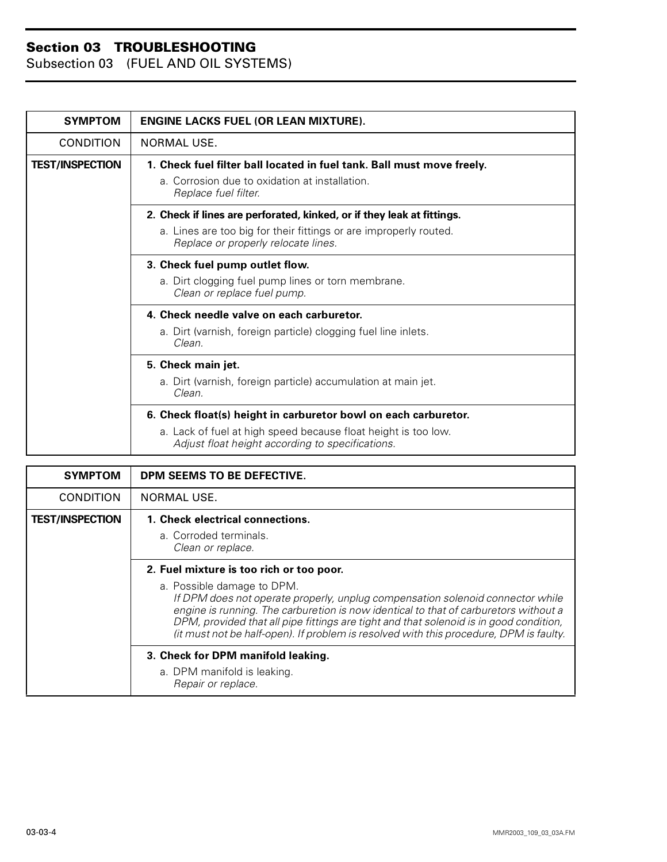Subsection 03 (FUEL AND OIL SYSTEMS)

| <b>SYMPTOM</b>         | <b>ENGINE LACKS FUEL (OR LEAN MIXTURE).</b>                                                                        |
|------------------------|--------------------------------------------------------------------------------------------------------------------|
| <b>CONDITION</b>       | NORMAL USE.                                                                                                        |
| <b>TEST/INSPECTION</b> | 1. Check fuel filter ball located in fuel tank. Ball must move freely.                                             |
|                        | a. Corrosion due to oxidation at installation.<br>Replace fuel filter.                                             |
|                        | 2. Check if lines are perforated, kinked, or if they leak at fittings.                                             |
|                        | a. Lines are too big for their fittings or are improperly routed.<br>Replace or properly relocate lines.           |
|                        | 3. Check fuel pump outlet flow.                                                                                    |
|                        | a. Dirt clogging fuel pump lines or torn membrane.<br>Clean or replace fuel pump.                                  |
|                        | 4. Check needle valve on each carburetor.                                                                          |
|                        | a. Dirt (varnish, foreign particle) clogging fuel line inlets.<br>Clean.                                           |
|                        | 5. Check main jet.                                                                                                 |
|                        | a. Dirt (varnish, foreign particle) accumulation at main jet.<br>Clean.                                            |
|                        | 6. Check float(s) height in carburetor bowl on each carburetor.                                                    |
|                        | a. Lack of fuel at high speed because float height is too low.<br>Adjust float height according to specifications. |

| <b>SYMPTOM</b>         | DPM SEEMS TO BE DEFECTIVE.                                                                                                                                                                                                                                                                                                                                                                                                           |
|------------------------|--------------------------------------------------------------------------------------------------------------------------------------------------------------------------------------------------------------------------------------------------------------------------------------------------------------------------------------------------------------------------------------------------------------------------------------|
| <b>CONDITION</b>       | <b>NORMAL USE.</b>                                                                                                                                                                                                                                                                                                                                                                                                                   |
| <b>TEST/INSPECTION</b> | 1. Check electrical connections.<br>a. Corroded terminals.<br>Clean or replace.                                                                                                                                                                                                                                                                                                                                                      |
|                        | 2. Fuel mixture is too rich or too poor.<br>a. Possible damage to DPM.<br>If DPM does not operate properly, unplug compensation solenoid connector while<br>engine is running. The carburetion is now identical to that of carburetors without a<br>DPM, provided that all pipe fittings are tight and that solenoid is in good condition,<br>(it must not be half-open). If problem is resolved with this procedure, DPM is faulty. |
|                        | 3. Check for DPM manifold leaking.<br>a. DPM manifold is leaking.<br>Repair or replace.                                                                                                                                                                                                                                                                                                                                              |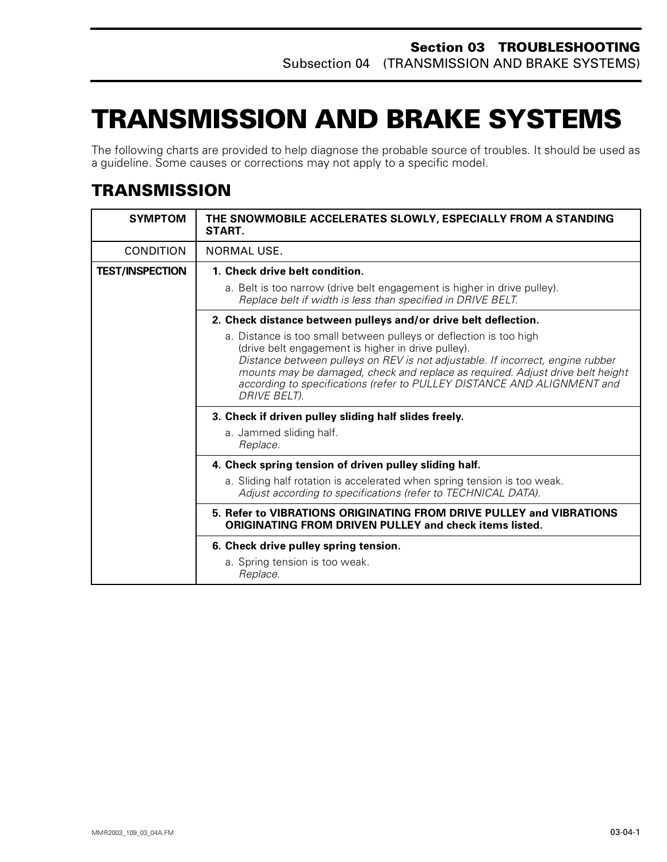## <span id="page-17-0"></span>**TRANSMISSION AND BRAKE SYSTEMS0**

The following charts are provided to help diagnose the probable source of troubles. It should be used as a guideline. Some causes or corrections may not apply to a specific model.

## **TRANSMISSION**

| <b>SYMPTOM</b>         | THE SNOWMOBILE ACCELERATES SLOWLY, ESPECIALLY FROM A STANDING<br>START.                                                                                                                                                                                                                                                                                                                        |
|------------------------|------------------------------------------------------------------------------------------------------------------------------------------------------------------------------------------------------------------------------------------------------------------------------------------------------------------------------------------------------------------------------------------------|
| CONDITION              | NORMAL USE.                                                                                                                                                                                                                                                                                                                                                                                    |
| <b>TEST/INSPECTION</b> | 1. Check drive belt condition.                                                                                                                                                                                                                                                                                                                                                                 |
|                        | a. Belt is too narrow (drive belt engagement is higher in drive pulley).<br>Replace belt if width is less than specified in DRIVE BELT.                                                                                                                                                                                                                                                        |
|                        | 2. Check distance between pulleys and/or drive belt deflection.                                                                                                                                                                                                                                                                                                                                |
|                        | a. Distance is too small between pulleys or deflection is too high<br>(drive belt engagement is higher in drive pulley).<br>Distance between pulleys on REV is not adjustable. If incorrect, engine rubber<br>mounts may be damaged, check and replace as required. Adjust drive belt height<br>according to specifications (refer to PULLEY DISTANCE AND ALIGNMENT and<br><b>DRIVE BELT).</b> |
|                        | 3. Check if driven pulley sliding half slides freely.                                                                                                                                                                                                                                                                                                                                          |
|                        | a. Jammed sliding half.<br>Replace.                                                                                                                                                                                                                                                                                                                                                            |
|                        | 4. Check spring tension of driven pulley sliding half.                                                                                                                                                                                                                                                                                                                                         |
|                        | a. Sliding half rotation is accelerated when spring tension is too weak.<br>Adjust according to specifications (refer to TECHNICAL DATA).                                                                                                                                                                                                                                                      |
|                        | 5. Refer to VIBRATIONS ORIGINATING FROM DRIVE PULLEY and VIBRATIONS<br><b>ORIGINATING FROM DRIVEN PULLEY and check items listed.</b>                                                                                                                                                                                                                                                           |
|                        | 6. Check drive pulley spring tension.                                                                                                                                                                                                                                                                                                                                                          |
|                        | a. Spring tension is too weak.<br>Replace.                                                                                                                                                                                                                                                                                                                                                     |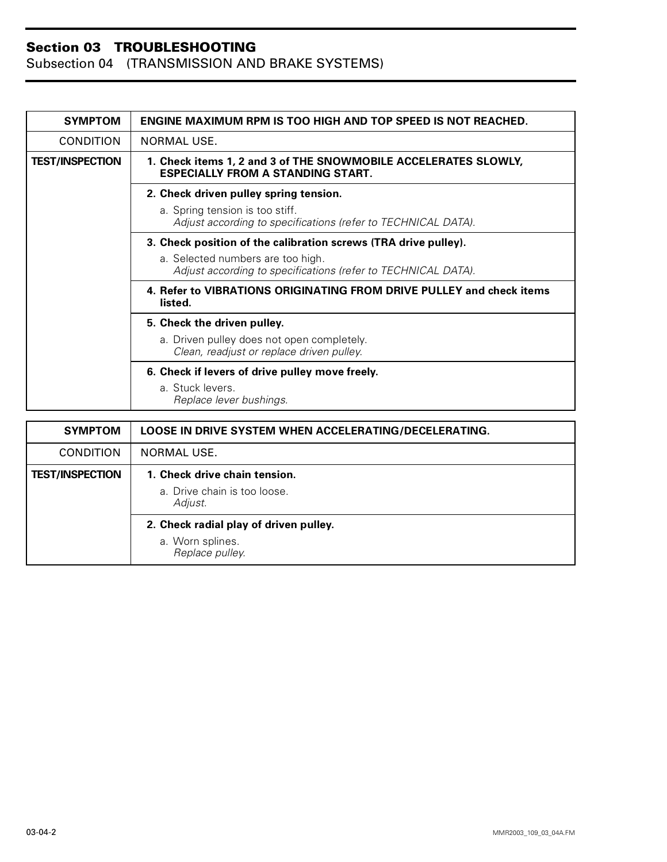| <b>SYMPTOM</b>         | <b>ENGINE MAXIMUM RPM IS TOO HIGH AND TOP SPEED IS NOT REACHED.</b>                                         |
|------------------------|-------------------------------------------------------------------------------------------------------------|
| <b>CONDITION</b>       | NORMAL USE.                                                                                                 |
| <b>TEST/INSPECTION</b> | 1. Check items 1, 2 and 3 of THE SNOWMOBILE ACCELERATES SLOWLY,<br><b>ESPECIALLY FROM A STANDING START.</b> |
|                        | 2. Check driven pulley spring tension.                                                                      |
|                        | a. Spring tension is too stiff.<br>Adjust according to specifications (refer to TECHNICAL DATA).            |
|                        | 3. Check position of the calibration screws (TRA drive pulley).                                             |
|                        | a. Selected numbers are too high.<br>Adjust according to specifications (refer to TECHNICAL DATA).          |
|                        | 4. Refer to VIBRATIONS ORIGINATING FROM DRIVE PULLEY and check items<br>listed.                             |
|                        | 5. Check the driven pulley.                                                                                 |
|                        | a. Driven pulley does not open completely.<br>Clean, readjust or replace driven pulley.                     |
|                        | 6. Check if levers of drive pulley move freely.                                                             |
|                        | a. Stuck levers.<br>Replace lever bushings.                                                                 |
|                        |                                                                                                             |
| <b>SYMPTOM</b>         | <b>LOOSE IN DRIVE SYSTEM WHEN ACCELERATING/DECELERATING.</b>                                                |
| <b>CONDITION</b>       | NORMAL USE.                                                                                                 |
|                        |                                                                                                             |

| <b>CONDITION</b>       | NORMAL USE.                             |
|------------------------|-----------------------------------------|
| <b>TEST/INSPECTION</b> | 1. Check drive chain tension.           |
|                        | a. Drive chain is too loose.<br>Adjust. |
|                        | 2. Check radial play of driven pulley.  |
|                        | a. Worn splines.<br>Replace pulley.     |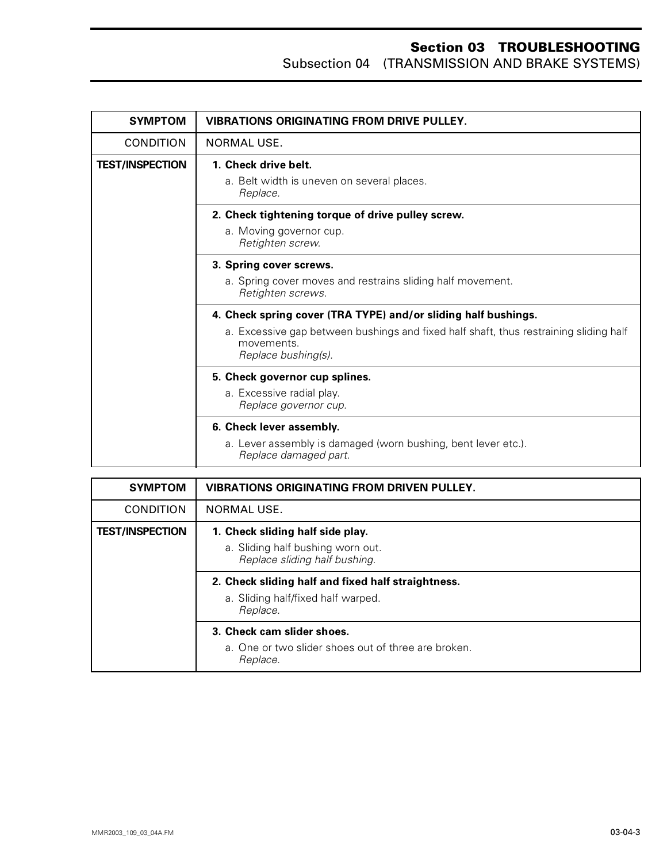| <b>SYMPTOM</b>         | <b>VIBRATIONS ORIGINATING FROM DRIVE PULLEY.</b>                                                                           |
|------------------------|----------------------------------------------------------------------------------------------------------------------------|
| <b>CONDITION</b>       | NORMAL USE.                                                                                                                |
| <b>TEST/INSPECTION</b> | 1. Check drive belt.                                                                                                       |
|                        | a. Belt width is uneven on several places.<br>Replace.                                                                     |
|                        | 2. Check tightening torque of drive pulley screw.                                                                          |
|                        | a. Moving governor cup.<br>Retighten screw.                                                                                |
|                        | 3. Spring cover screws.                                                                                                    |
|                        | a. Spring cover moves and restrains sliding half movement.<br>Retighten screws.                                            |
|                        | 4. Check spring cover (TRA TYPE) and/or sliding half bushings.                                                             |
|                        | a. Excessive gap between bushings and fixed half shaft, thus restraining sliding half<br>movements.<br>Replace bushing(s). |
|                        | 5. Check governor cup splines.                                                                                             |
|                        | a. Excessive radial play.<br>Replace governor cup.                                                                         |
|                        | 6. Check lever assembly.                                                                                                   |
|                        | a. Lever assembly is damaged (worn bushing, bent lever etc.).<br>Replace damaged part.                                     |

| <b>SYMPTOM</b>         | <b>VIBRATIONS ORIGINATING FROM DRIVEN PULLEY.</b>                                                      |
|------------------------|--------------------------------------------------------------------------------------------------------|
| <b>CONDITION</b>       | NORMAL USE.                                                                                            |
| <b>TEST/INSPECTION</b> | 1. Check sliding half side play.<br>a. Sliding half bushing worn out.<br>Replace sliding half bushing. |
|                        | 2. Check sliding half and fixed half straightness.<br>a. Sliding half/fixed half warped.<br>Replace.   |
|                        | 3. Check cam slider shoes.<br>a. One or two slider shoes out of three are broken.<br>Replace.          |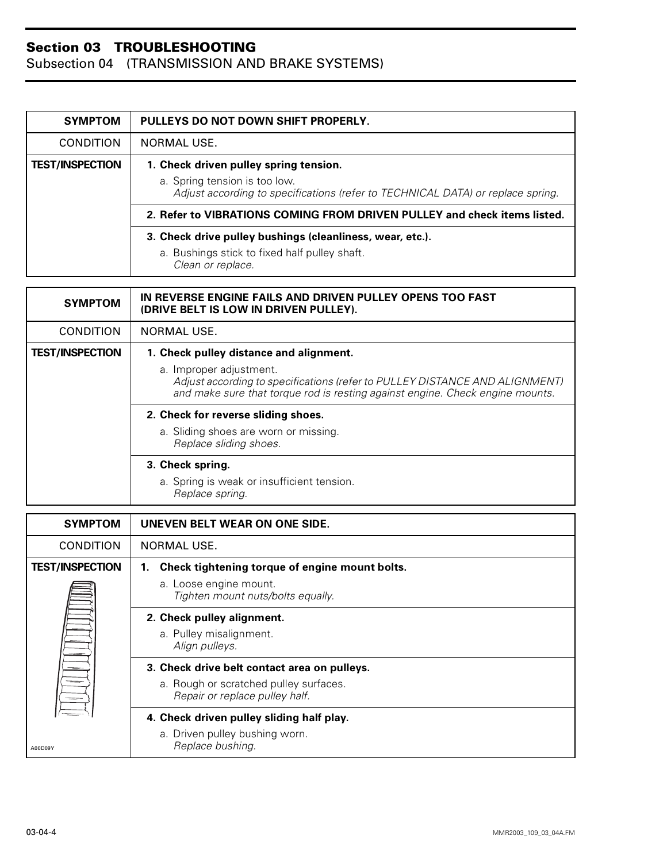| <b>SYMPTOM</b>         | PULLEYS DO NOT DOWN SHIFT PROPERLY.                                                                              |
|------------------------|------------------------------------------------------------------------------------------------------------------|
| <b>CONDITION</b>       | NORMAL USE.                                                                                                      |
| <b>TEST/INSPECTION</b> | 1. Check driven pulley spring tension.                                                                           |
|                        | a. Spring tension is too low.<br>Adjust according to specifications (refer to TECHNICAL DATA) or replace spring. |
|                        | 2. Refer to VIBRATIONS COMING FROM DRIVEN PULLEY and check items listed.                                         |
|                        | 3. Check drive pulley bushings (cleanliness, wear, etc.).                                                        |
|                        | a. Bushings stick to fixed half pulley shaft.<br>Clean or replace.                                               |

| <b>SYMPTOM</b>         | IN REVERSE ENGINE FAILS AND DRIVEN PULLEY OPENS TOO FAST<br>(DRIVE BELT IS LOW IN DRIVEN PULLEY).                                                                                       |
|------------------------|-----------------------------------------------------------------------------------------------------------------------------------------------------------------------------------------|
| <b>CONDITION</b>       | NORMAL USE.                                                                                                                                                                             |
| <b>TEST/INSPECTION</b> | 1. Check pulley distance and alignment.                                                                                                                                                 |
|                        | a. Improper adjustment.<br>Adjust according to specifications (refer to PULLEY DISTANCE AND ALIGNMENT)<br>and make sure that torque rod is resting against engine. Check engine mounts. |
|                        | 2. Check for reverse sliding shoes.                                                                                                                                                     |
|                        | a. Sliding shoes are worn or missing.<br>Replace sliding shoes.                                                                                                                         |
|                        | 3. Check spring.                                                                                                                                                                        |
|                        | a. Spring is weak or insufficient tension.<br>Replace spring.                                                                                                                           |

| <b>SYMPTOM</b>         | UNEVEN BELT WEAR ON ONE SIDE.                                            |
|------------------------|--------------------------------------------------------------------------|
| <b>CONDITION</b>       | NORMAL USE.                                                              |
| <b>TEST/INSPECTION</b> | Check tightening torque of engine mount bolts.<br>1.                     |
| $=$                    | a. Loose engine mount.<br>Tighten mount nuts/bolts equally.              |
|                        | 2. Check pulley alignment.<br>a. Pulley misalignment.<br>Align pulleys.  |
|                        | 3. Check drive belt contact area on pulleys.                             |
|                        | a. Rough or scratched pulley surfaces.<br>Repair or replace pulley half. |
|                        | 4. Check driven pulley sliding half play.                                |
| A00D09Y                | a. Driven pulley bushing worn.<br>Replace bushing.                       |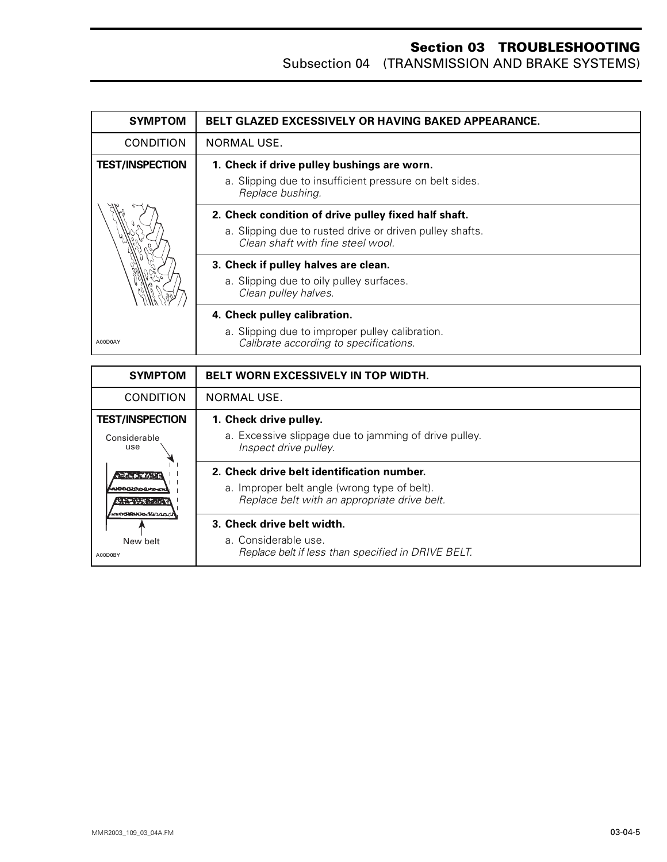| <b>SYMPTOM</b>         | <b>BELT GLAZED EXCESSIVELY OR HAVING BAKED APPEARANCE.</b>                                    |
|------------------------|-----------------------------------------------------------------------------------------------|
| <b>CONDITION</b>       | NORMAL USE.                                                                                   |
| <b>TEST/INSPECTION</b> | 1. Check if drive pulley bushings are worn.                                                   |
|                        | a. Slipping due to insufficient pressure on belt sides.<br>Replace bushing.                   |
|                        | 2. Check condition of drive pulley fixed half shaft.                                          |
|                        | a. Slipping due to rusted drive or driven pulley shafts.<br>Clean shaft with fine steel wool. |
|                        | 3. Check if pulley halves are clean.                                                          |
|                        | a. Slipping due to oily pulley surfaces.<br>Clean pulley halves.                              |
|                        | 4. Check pulley calibration.                                                                  |
| A00D0AY                | a. Slipping due to improper pulley calibration.<br>Calibrate according to specifications.     |

| <b>SYMPTOM</b>                                                                                            | <b>BELT WORN EXCESSIVELY IN TOP WIDTH.</b>                                                   |
|-----------------------------------------------------------------------------------------------------------|----------------------------------------------------------------------------------------------|
| <b>CONDITION</b>                                                                                          | NORMAL USE.                                                                                  |
| <b>TEST/INSPECTION</b>                                                                                    | 1. Check drive pulley.                                                                       |
| Considerable<br>use<br><b>CONNECTION</b><br><b>™ീവാാദ×</b> െ<br>r Sheris State<br><b>KINDOMERHODASION</b> | a. Excessive slippage due to jamming of drive pulley.<br>Inspect drive pulley.               |
|                                                                                                           | 2. Check drive belt identification number.                                                   |
|                                                                                                           | a. Improper belt angle (wrong type of belt).<br>Replace belt with an appropriate drive belt. |
|                                                                                                           | 3. Check drive belt width.                                                                   |
| New belt<br>A00D0BY                                                                                       | a. Considerable use.<br>Replace belt if less than specified in DRIVE BELT.                   |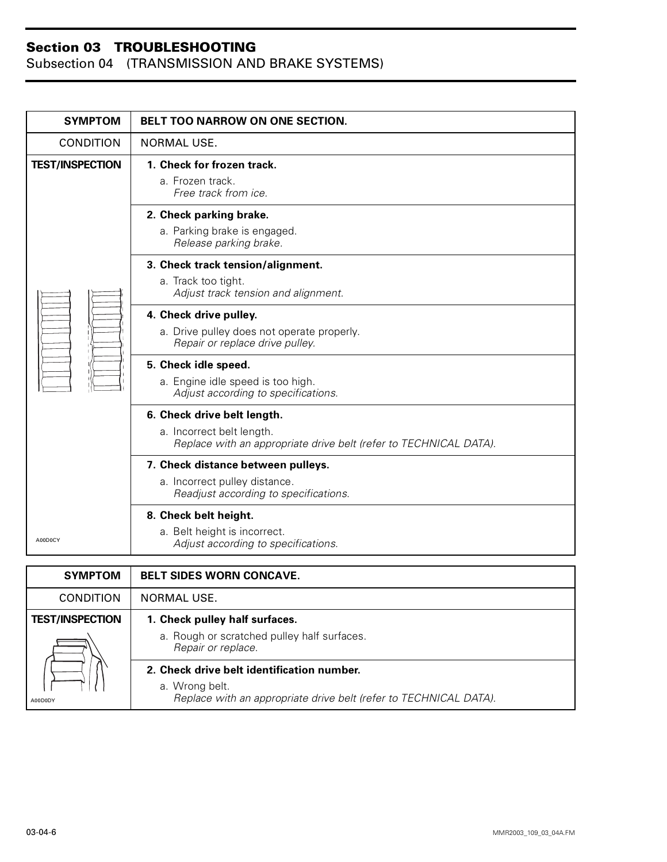Subsection 04 (TRANSMISSION AND BRAKE SYSTEMS)

*Repair or replace.*

a. Wrong belt.

**2. Check drive belt identification number.**

*Replace with an appropriate drive belt (refer to TECHNICAL DATA).*

| <b>SYMPTOM</b>         | <b>BELT TOO NARROW ON ONE SECTION.</b>                                                                                        |
|------------------------|-------------------------------------------------------------------------------------------------------------------------------|
| <b>CONDITION</b>       | NORMAL USE.                                                                                                                   |
| <b>TEST/INSPECTION</b> | 1. Check for frozen track.<br>a. Frozen track.<br>Free track from ice.                                                        |
|                        | 2. Check parking brake.<br>a. Parking brake is engaged.<br>Release parking brake.                                             |
|                        | 3. Check track tension/alignment.<br>a. Track too tight.<br>Adjust track tension and alignment.                               |
|                        | 4. Check drive pulley.<br>a. Drive pulley does not operate properly.<br>Repair or replace drive pulley.                       |
|                        | 5. Check idle speed.<br>a. Engine idle speed is too high.<br>Adjust according to specifications.                              |
|                        | 6. Check drive belt length.<br>a. Incorrect belt length.<br>Replace with an appropriate drive belt (refer to TECHNICAL DATA). |
|                        | 7. Check distance between pulleys.<br>a. Incorrect pulley distance.<br>Readjust according to specifications.                  |
| A00D0CY                | 8. Check belt height.<br>a. Belt height is incorrect.<br>Adjust according to specifications.                                  |
| <b>SYMPTOM</b>         | <b>BELT SIDES WORN CONCAVE.</b>                                                                                               |
| <b>CONDITION</b>       | <b>NORMAL USE.</b>                                                                                                            |
| <b>TEST/INSPECTION</b> | 1. Check pulley half surfaces.                                                                                                |
|                        | a. Rough or scratched pulley half surfaces.                                                                                   |

A00D0DY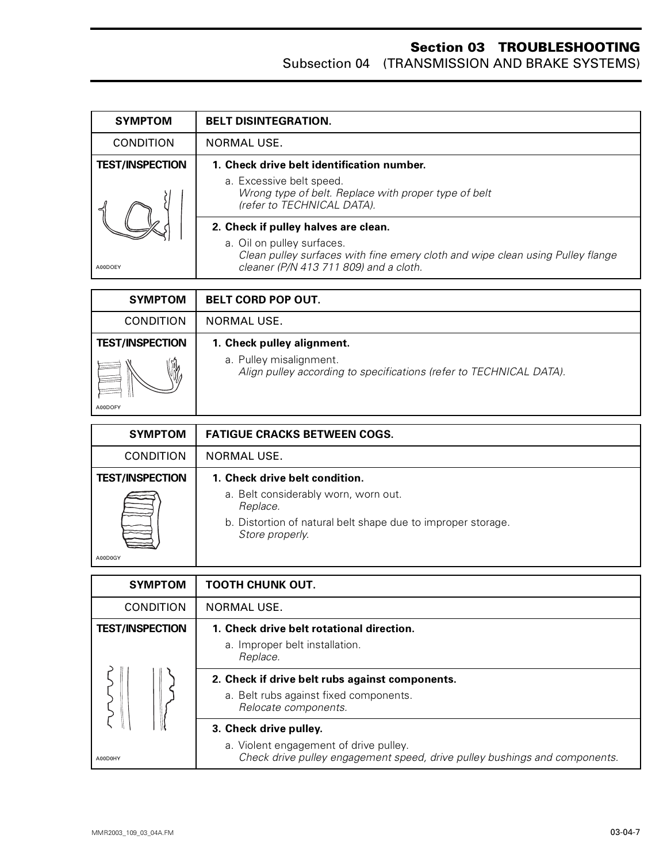| <b>SYMPTOM</b>         | <b>BELT DISINTEGRATION.</b>                                                                                                                            |
|------------------------|--------------------------------------------------------------------------------------------------------------------------------------------------------|
| <b>CONDITION</b>       | NORMAL USE.                                                                                                                                            |
| <b>TEST/INSPECTION</b> | 1. Check drive belt identification number.                                                                                                             |
| A00DOEY                | a. Excessive belt speed.<br>Wrong type of belt. Replace with proper type of belt<br>(refer to TECHNICAL DATA).                                         |
|                        | 2. Check if pulley halves are clean.                                                                                                                   |
|                        | a. Oil on pulley surfaces.<br>Clean pulley surfaces with fine emery cloth and wipe clean using Pulley flange<br>cleaner (P/N 413 711 809) and a cloth. |

| <b>SYMPTOM</b>         | <b>BELT CORD POP OUT.</b>                                                                      |
|------------------------|------------------------------------------------------------------------------------------------|
| <b>CONDITION</b>       | NORMAL USE.                                                                                    |
| <b>TEST/INSPECTION</b> | 1. Check pulley alignment.                                                                     |
| NW.                    | a. Pulley misalignment.<br>Align pulley according to specifications (refer to TECHNICAL DATA). |
| A00DOFY                |                                                                                                |

| <b>SYMPTOM</b>         | <b>FATIGUE CRACKS BETWEEN COGS.</b>                                             |
|------------------------|---------------------------------------------------------------------------------|
| <b>CONDITION</b>       | NORMAL USE.                                                                     |
| <b>TEST/INSPECTION</b> | 1. Check drive belt condition.                                                  |
|                        | a. Belt considerably worn, worn out.<br>Replace.                                |
|                        | b. Distortion of natural belt shape due to improper storage.<br>Store properly. |
| A00D0GY                |                                                                                 |

| <b>SYMPTOM</b>                    | <b>TOOTH CHUNK OUT.</b>                                                                                                                        |
|-----------------------------------|------------------------------------------------------------------------------------------------------------------------------------------------|
| <b>CONDITION</b>                  | NORMAL USE.                                                                                                                                    |
| <b>TEST/INSPECTION</b><br>A00D0HY | 1. Check drive belt rotational direction.<br>a. Improper belt installation.<br>Replace.                                                        |
|                                   | 2. Check if drive belt rubs against components.<br>a. Belt rubs against fixed components.<br>Relocate components.                              |
|                                   | 3. Check drive pulley.<br>a. Violent engagement of drive pulley.<br>Check drive pulley engagement speed, drive pulley bushings and components. |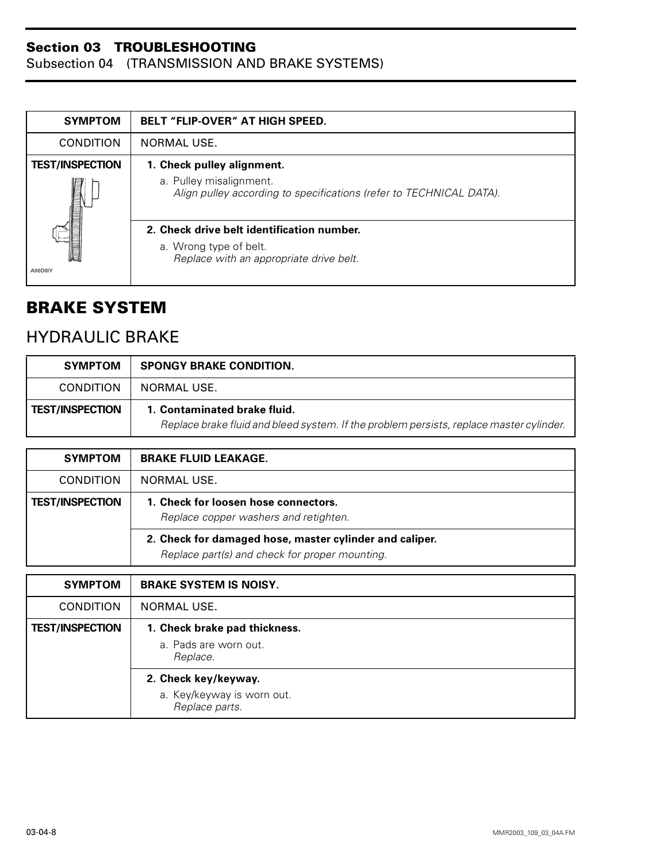Subsection 04 (TRANSMISSION AND BRAKE SYSTEMS)

| <b>SYMPTOM</b>         | <b>BELT "FLIP-OVER" AT HIGH SPEED.</b>                                                         |
|------------------------|------------------------------------------------------------------------------------------------|
| <b>CONDITION</b>       | NORMAL USE.                                                                                    |
| <b>TEST/INSPECTION</b> | 1. Check pulley alignment.                                                                     |
|                        | a. Pulley misalignment.<br>Align pulley according to specifications (refer to TECHNICAL DATA). |
|                        | 2. Check drive belt identification number.                                                     |
|                        | a. Wrong type of belt.<br>Replace with an appropriate drive belt.                              |
| A00D0IY                |                                                                                                |

## <span id="page-24-0"></span>**BRAKE SYSTEM**

## HYDRAULIC BRAKE

| <b>SYMPTOM</b>         | <b>SPONGY BRAKE CONDITION.</b>                                                                                          |
|------------------------|-------------------------------------------------------------------------------------------------------------------------|
| CONDITION              | NORMAL USE.                                                                                                             |
| <b>TEST/INSPECTION</b> | 1. Contaminated brake fluid.<br>Replace brake fluid and bleed system. If the problem persists, replace master cylinder. |

| <b>SYMPTOM</b>         | <b>BRAKE FLUID LEAKAGE.</b>                                                                               |
|------------------------|-----------------------------------------------------------------------------------------------------------|
| <b>CONDITION</b>       | NORMAL USE.                                                                                               |
| <b>TEST/INSPECTION</b> | 1. Check for loosen hose connectors.<br>Replace copper washers and retighten.                             |
|                        | 2. Check for damaged hose, master cylinder and caliper.<br>Replace part(s) and check for proper mounting. |

| <b>SYMPTOM</b>         | <b>BRAKE SYSTEM IS NOISY.</b>                                        |
|------------------------|----------------------------------------------------------------------|
| <b>CONDITION</b>       | NORMAL USE.                                                          |
| <b>TEST/INSPECTION</b> | 1. Check brake pad thickness.<br>a. Pads are worn out.<br>Replace.   |
|                        | 2. Check key/keyway.<br>a. Key/keyway is worn out.<br>Replace parts. |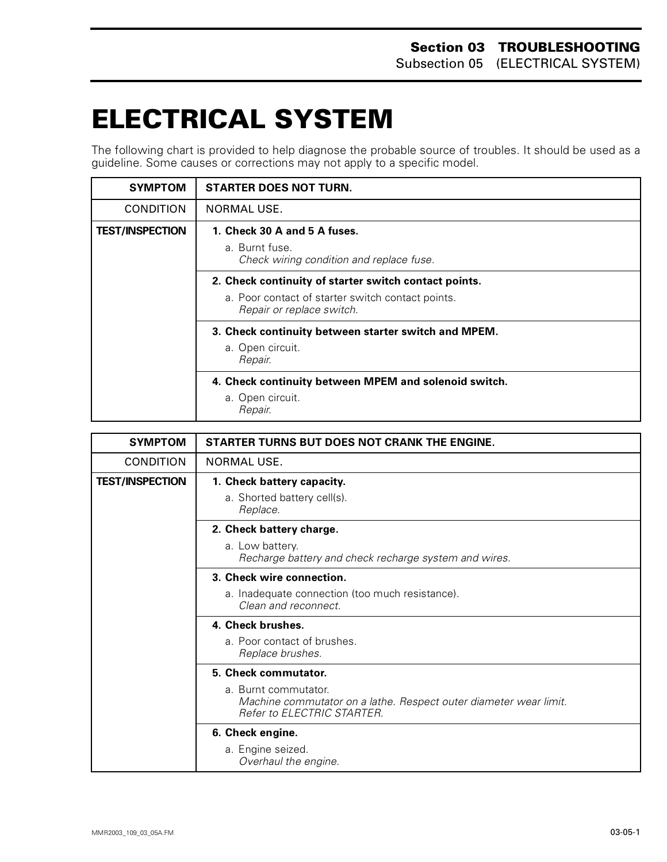# <span id="page-25-0"></span>**ELECTRICAL SYSTEM 0**

The following chart is provided to help diagnose the probable source of troubles. It should be used as a guideline. Some causes or corrections may not apply to a specific model.

| <b>SYMPTOM</b>         | <b>STARTER DOES NOT TURN.</b>                                                                                                           |
|------------------------|-----------------------------------------------------------------------------------------------------------------------------------------|
| <b>CONDITION</b>       | NORMAL USE.                                                                                                                             |
| <b>TEST/INSPECTION</b> | 1. Check 30 A and 5 A fuses.<br>a. Burnt fuse.<br>Check wiring condition and replace fuse.                                              |
|                        | 2. Check continuity of starter switch contact points.<br>a. Poor contact of starter switch contact points.<br>Repair or replace switch. |
|                        | 3. Check continuity between starter switch and MPEM.<br>a. Open circuit.<br>Repair.                                                     |
|                        | 4. Check continuity between MPEM and solenoid switch.<br>a. Open circuit.<br>Repair.                                                    |

| <b>SYMPTOM</b>         | STARTER TURNS BUT DOES NOT CRANK THE ENGINE.                                                                            |
|------------------------|-------------------------------------------------------------------------------------------------------------------------|
| <b>CONDITION</b>       | NORMAL USE.                                                                                                             |
| <b>TEST/INSPECTION</b> | 1. Check battery capacity.                                                                                              |
|                        | a. Shorted battery cell(s).<br>Replace.                                                                                 |
|                        | 2. Check battery charge.                                                                                                |
|                        | a. Low battery.<br>Recharge battery and check recharge system and wires.                                                |
|                        | 3. Check wire connection.                                                                                               |
|                        | a. Inadequate connection (too much resistance).<br>Clean and reconnect.                                                 |
|                        | 4. Check brushes.                                                                                                       |
|                        | a. Poor contact of brushes.<br>Replace brushes.                                                                         |
|                        | 5. Check commutator.                                                                                                    |
|                        | a. Burnt commutator.<br>Machine commutator on a lathe. Respect outer diameter wear limit.<br>Refer to ELECTRIC STARTER. |
|                        | 6. Check engine.                                                                                                        |
|                        | a. Engine seized.<br>Overhaul the engine.                                                                               |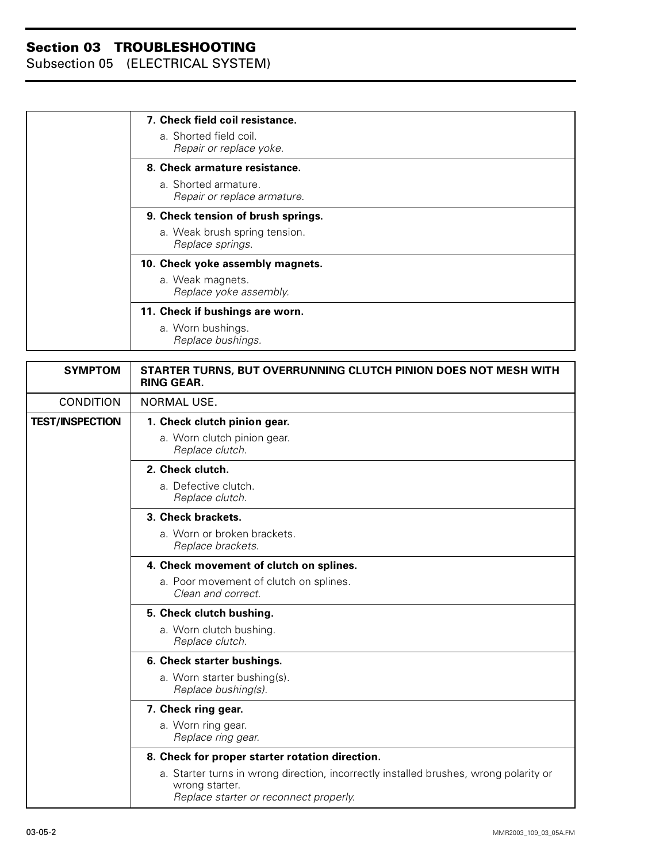| 7. Check field coil resistance.    |
|------------------------------------|
| a. Shorted field coil.             |
| Repair or replace yoke.            |
| 8. Check armature resistance.      |
| a. Shorted armature.               |
| Repair or replace armature.        |
| 9. Check tension of brush springs. |
| a. Weak brush spring tension.      |
| Replace springs.                   |
| 10. Check yoke assembly magnets.   |
| a. Weak magnets.                   |
| Replace yoke assembly.             |
| 11. Check if bushings are worn.    |
| a. Worn bushings.                  |
| Replace bushings.                  |

| <b>SYMPTOM</b>         | STARTER TURNS, BUT OVERRUNNING CLUTCH PINION DOES NOT MESH WITH<br><b>RING GEAR.</b>                                                              |
|------------------------|---------------------------------------------------------------------------------------------------------------------------------------------------|
| <b>CONDITION</b>       | <b>NORMAL USE.</b>                                                                                                                                |
| <b>TEST/INSPECTION</b> | 1. Check clutch pinion gear.                                                                                                                      |
|                        | a. Worn clutch pinion gear.<br>Replace clutch.                                                                                                    |
|                        | 2. Check clutch.                                                                                                                                  |
|                        | a. Defective clutch.<br>Replace clutch.                                                                                                           |
|                        | 3. Check brackets.                                                                                                                                |
|                        | a. Worn or broken brackets.<br>Replace brackets.                                                                                                  |
|                        | 4. Check movement of clutch on splines.                                                                                                           |
|                        | a. Poor movement of clutch on splines.<br>Clean and correct.                                                                                      |
|                        | 5. Check clutch bushing.                                                                                                                          |
|                        | a. Worn clutch bushing.<br>Replace clutch.                                                                                                        |
|                        | 6. Check starter bushings.                                                                                                                        |
|                        | a. Worn starter bushing(s).<br>Replace bushing(s).                                                                                                |
|                        | 7. Check ring gear.                                                                                                                               |
|                        | a. Worn ring gear.<br>Replace ring gear.                                                                                                          |
|                        | 8. Check for proper starter rotation direction.                                                                                                   |
|                        | a. Starter turns in wrong direction, incorrectly installed brushes, wrong polarity or<br>wrong starter.<br>Replace starter or reconnect properly. |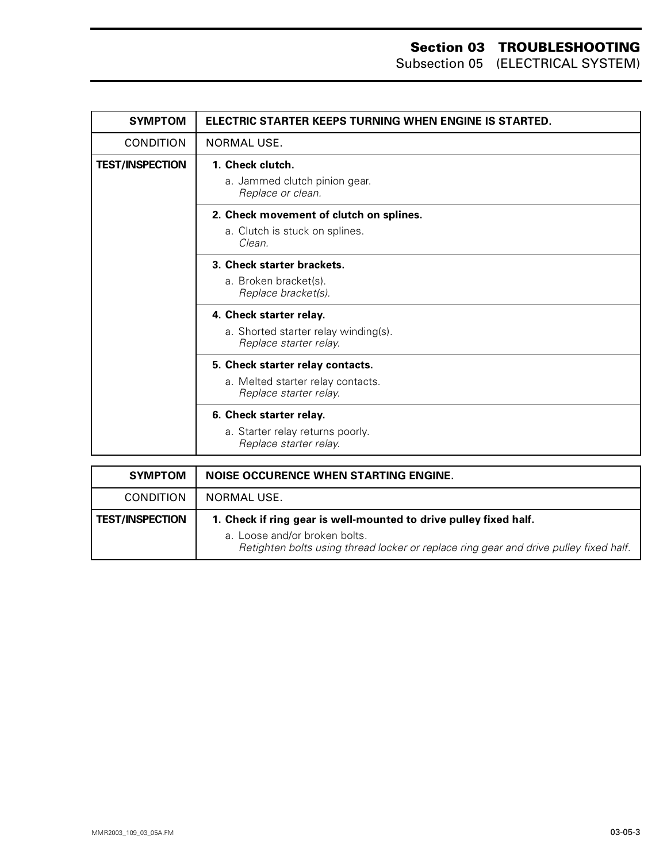| <b>SYMPTOM</b>         | ELECTRIC STARTER KEEPS TURNING WHEN ENGINE IS STARTED.         |
|------------------------|----------------------------------------------------------------|
| <b>CONDITION</b>       | NORMAL USE.                                                    |
| <b>TEST/INSPECTION</b> | 1. Check clutch.                                               |
|                        | a. Jammed clutch pinion gear.<br>Replace or clean.             |
|                        | 2. Check movement of clutch on splines.                        |
|                        | a. Clutch is stuck on splines.<br>Clean.                       |
|                        | 3. Check starter brackets.                                     |
|                        | a. Broken bracket(s).<br>Replace bracket(s).                   |
|                        | 4. Check starter relay.                                        |
|                        | a. Shorted starter relay winding(s).<br>Replace starter relay. |
|                        | 5. Check starter relay contacts.                               |
|                        | a. Melted starter relay contacts.<br>Replace starter relay.    |
|                        | 6. Check starter relay.                                        |
|                        | a. Starter relay returns poorly.<br>Replace starter relay.     |

| <b>SYMPTOM</b>         | NOISE OCCURENCE WHEN STARTING ENGINE.                                                                                                                                                       |
|------------------------|---------------------------------------------------------------------------------------------------------------------------------------------------------------------------------------------|
| <b>CONDITION</b>       | NORMAL USE.                                                                                                                                                                                 |
| <b>TEST/INSPECTION</b> | 1. Check if ring gear is well-mounted to drive pulley fixed half.<br>a. Loose and/or broken bolts.<br>Retighten bolts using thread locker or replace ring gear and drive pulley fixed half. |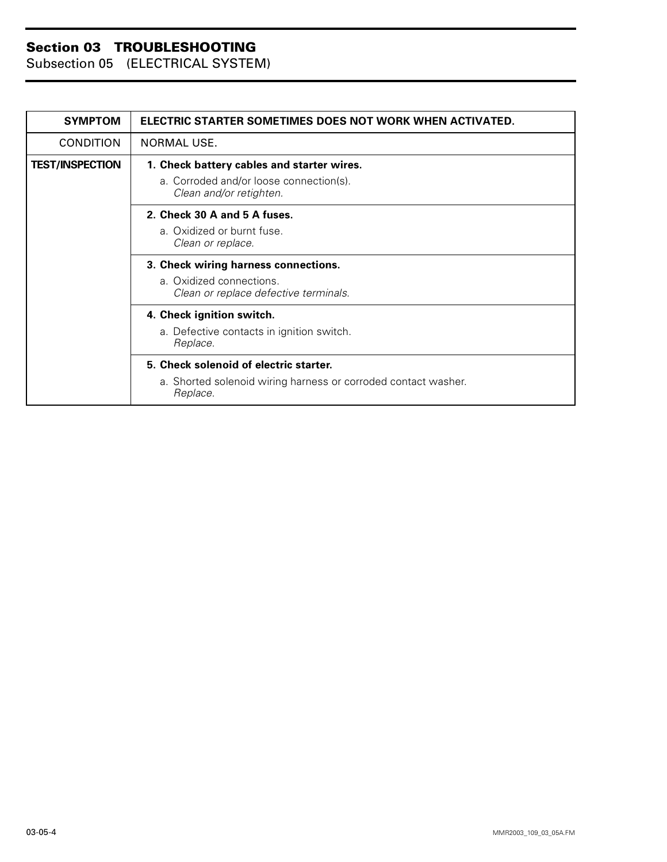| <b>SYMPTOM</b>         | ELECTRIC STARTER SOMETIMES DOES NOT WORK WHEN ACTIVATED.                   |
|------------------------|----------------------------------------------------------------------------|
| <b>CONDITION</b>       | NORMAL USE.                                                                |
| <b>TEST/INSPECTION</b> | 1. Check battery cables and starter wires.                                 |
|                        | a. Corroded and/or loose connection(s).<br>Clean and/or retighten.         |
|                        | 2. Check 30 A and 5 A fuses.                                               |
|                        | a. Oxidized or burnt fuse.<br>Clean or replace.                            |
|                        | 3. Check wiring harness connections.                                       |
|                        | a. Oxidized connections.<br>Clean or replace defective terminals.          |
|                        | 4. Check ignition switch.                                                  |
|                        | a. Defective contacts in ignition switch.<br>Replace.                      |
|                        | 5. Check solenoid of electric starter.                                     |
|                        | a. Shorted solenoid wiring harness or corroded contact washer.<br>Replace. |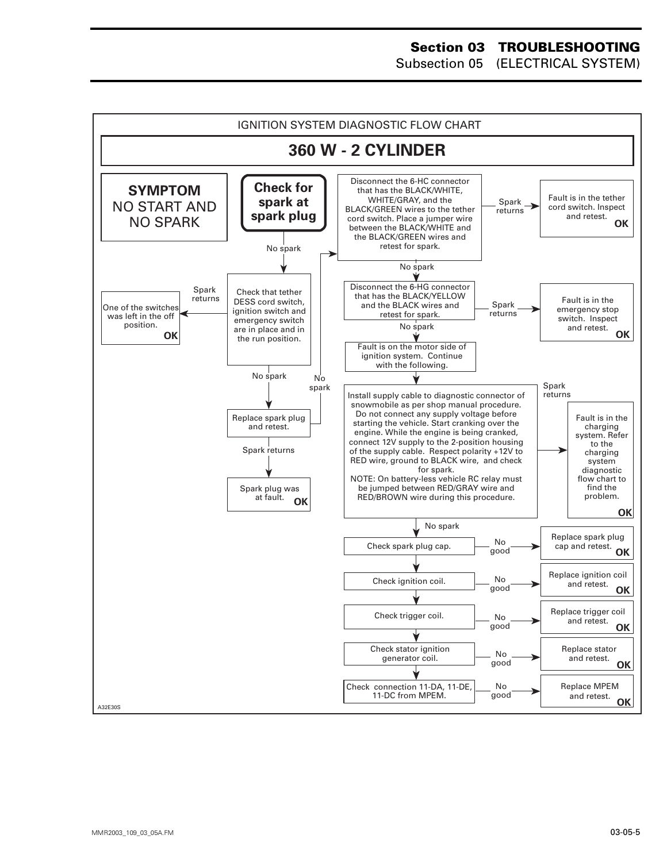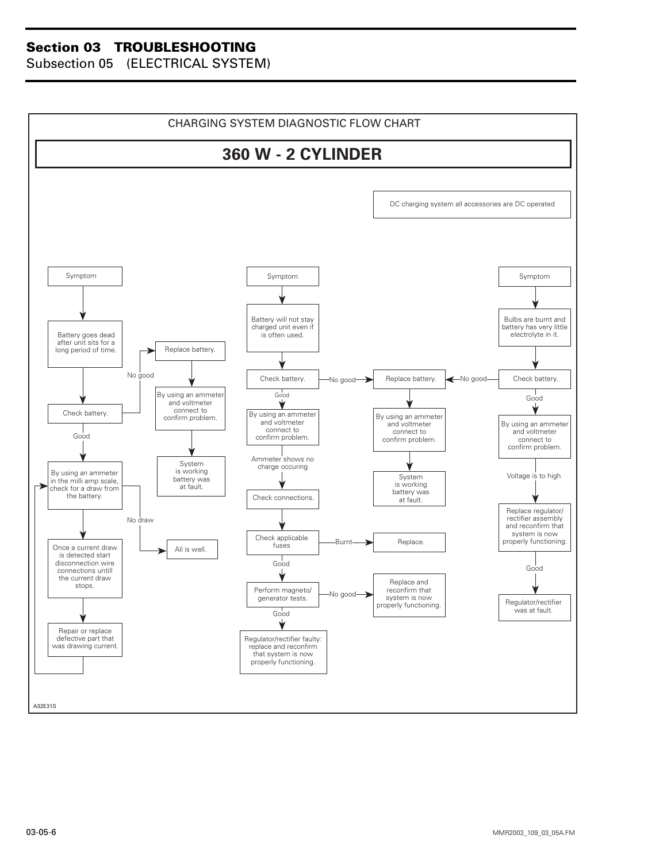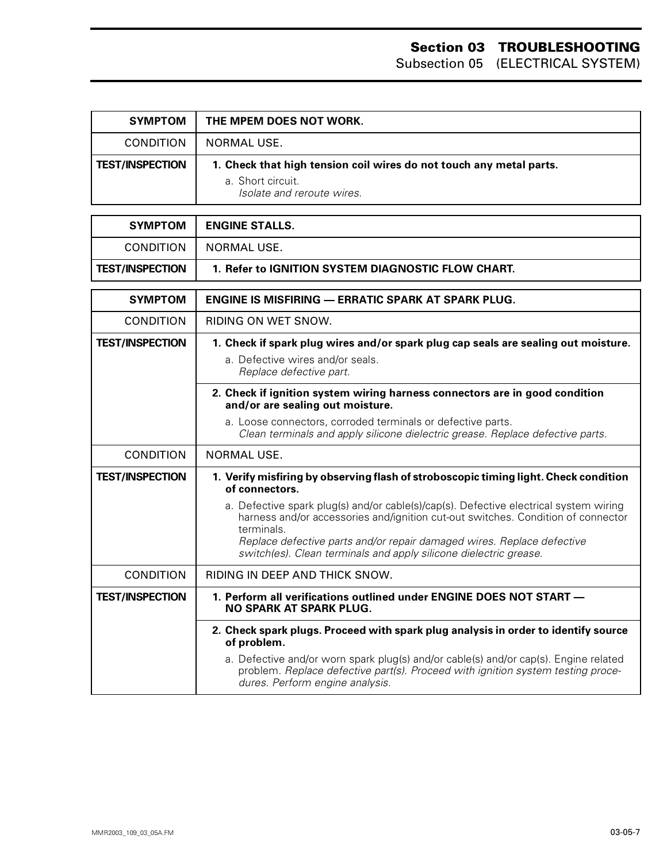| <b>SYMPTOM</b>         | THE MPEM DOES NOT WORK.                                                                                                |
|------------------------|------------------------------------------------------------------------------------------------------------------------|
| <b>CONDITION</b>       | NORMAL USE.                                                                                                            |
| <b>TEST/INSPECTION</b> | 1. Check that high tension coil wires do not touch any metal parts.<br>a. Short circuit.<br>Isolate and reroute wires. |

| <b>SYMPTOM</b>         | <b>ENGINE STALLS.</b>                                     |
|------------------------|-----------------------------------------------------------|
| <b>CONDITION</b>       | NORMAL USE.                                               |
| <b>TEST/INSPECTION</b> | 1. Refer to IGNITION SYSTEM DIAGNOSTIC FLOW CHART.        |
|                        |                                                           |
| <b>SYMPTOM</b>         | <b>ENGINE IS MISFIRING — ERRATIC SPARK AT SPARK PLUG.</b> |

| <b>SYMPIOM</b>         | ENGINE IS MISFIRING — ERRATIC SPARK AT SPARK PLUG.                                                                                                                                                                                                                                                                                     |
|------------------------|----------------------------------------------------------------------------------------------------------------------------------------------------------------------------------------------------------------------------------------------------------------------------------------------------------------------------------------|
| <b>CONDITION</b>       | RIDING ON WET SNOW.                                                                                                                                                                                                                                                                                                                    |
| <b>TEST/INSPECTION</b> | 1. Check if spark plug wires and/or spark plug cap seals are sealing out moisture.                                                                                                                                                                                                                                                     |
|                        | a. Defective wires and/or seals.<br>Replace defective part.                                                                                                                                                                                                                                                                            |
|                        | 2. Check if ignition system wiring harness connectors are in good condition<br>and/or are sealing out moisture.                                                                                                                                                                                                                        |
|                        | a. Loose connectors, corroded terminals or defective parts.<br>Clean terminals and apply silicone dielectric grease. Replace defective parts.                                                                                                                                                                                          |
| <b>CONDITION</b>       | NORMAL USE.                                                                                                                                                                                                                                                                                                                            |
| <b>TEST/INSPECTION</b> | 1. Verify misfiring by observing flash of stroboscopic timing light. Check condition<br>of connectors.                                                                                                                                                                                                                                 |
|                        | a. Defective spark plug(s) and/or cable(s)/cap(s). Defective electrical system wiring<br>harness and/or accessories and/ignition cut-out switches. Condition of connector<br>terminals.<br>Replace defective parts and/or repair damaged wires. Replace defective<br>switch(es). Clean terminals and apply silicone dielectric grease. |
| <b>CONDITION</b>       | RIDING IN DEEP AND THICK SNOW.                                                                                                                                                                                                                                                                                                         |
| <b>TEST/INSPECTION</b> | 1. Perform all verifications outlined under ENGINE DOES NOT START -<br><b>NO SPARK AT SPARK PLUG.</b>                                                                                                                                                                                                                                  |
|                        | 2. Check spark plugs. Proceed with spark plug analysis in order to identify source<br>of problem.                                                                                                                                                                                                                                      |
|                        | a. Defective and/or worn spark plug(s) and/or cable(s) and/or cap(s). Engine related<br>problem. Replace defective part(s). Proceed with ignition system testing proce-<br>dures. Perform engine analysis.                                                                                                                             |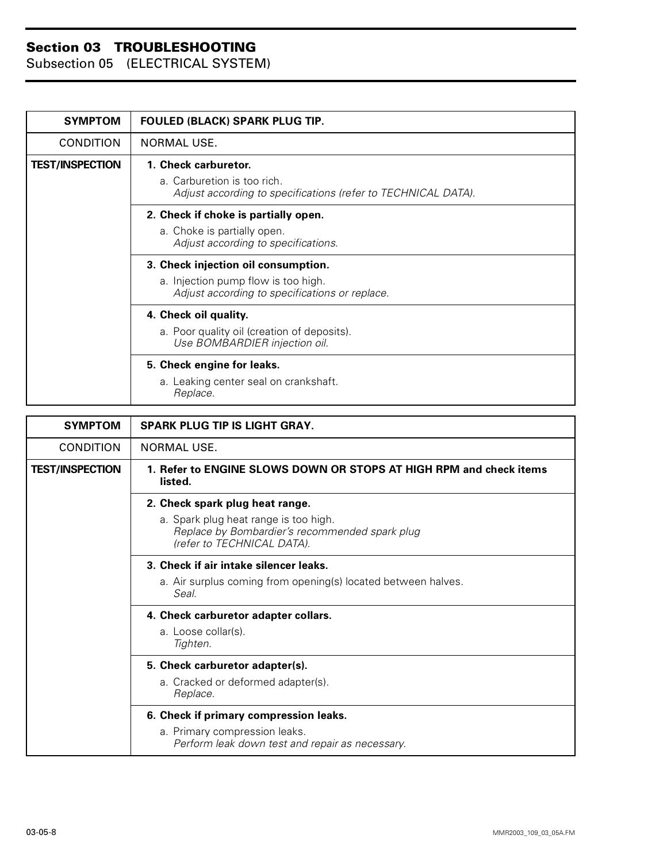Subsection 05 (ELECTRICAL SYSTEM)

| <b>SYMPTOM</b>         | FOULED (BLACK) SPARK PLUG TIP.                                                                                        |
|------------------------|-----------------------------------------------------------------------------------------------------------------------|
| <b>CONDITION</b>       | NORMAL USE.                                                                                                           |
| <b>TEST/INSPECTION</b> | 1. Check carburetor.                                                                                                  |
|                        | a. Carburetion is too rich.<br>Adjust according to specifications (refer to TECHNICAL DATA).                          |
|                        | 2. Check if choke is partially open.                                                                                  |
|                        | a. Choke is partially open.<br>Adjust according to specifications.                                                    |
|                        | 3. Check injection oil consumption.                                                                                   |
|                        | a. Injection pump flow is too high.<br>Adjust according to specifications or replace.                                 |
|                        | 4. Check oil quality.                                                                                                 |
|                        | a. Poor quality oil (creation of deposits).<br>Use BOMBARDIER injection oil.                                          |
|                        | 5. Check engine for leaks.                                                                                            |
|                        | a. Leaking center seal on crankshaft.<br>Replace.                                                                     |
| <b>SYMPTOM</b>         | <b>SPARK PLUG TIP IS LIGHT GRAY.</b>                                                                                  |
| <b>CONDITION</b>       | NORMAL USE.                                                                                                           |
| <b>TEST/INSPECTION</b> | 1. Refer to ENGINE SLOWS DOWN OR STOPS AT HIGH RPM and check items<br>listed.                                         |
|                        | 2. Check spark plug heat range.                                                                                       |
|                        | a. Spark plug heat range is too high.<br>Replace by Bombardier's recommended spark plug<br>(refer to TECHNICAL DATA). |
|                        | 3. Check if air intake silencer leaks.                                                                                |
|                        | a. Air surplus coming from opening(s) located between halves.<br>Seal.                                                |
|                        | 4. Check carburetor adapter collars.                                                                                  |
|                        | a. Loose collar(s).<br>Tighten.                                                                                       |
|                        | 5. Check carburetor adapter(s).                                                                                       |

#### **6. Check if primary compression leaks.** a. Primary compression leaks.

a. Cracked or deformed adapter(s).

*Replace.*

*Perform leak down test and repair as necessary.*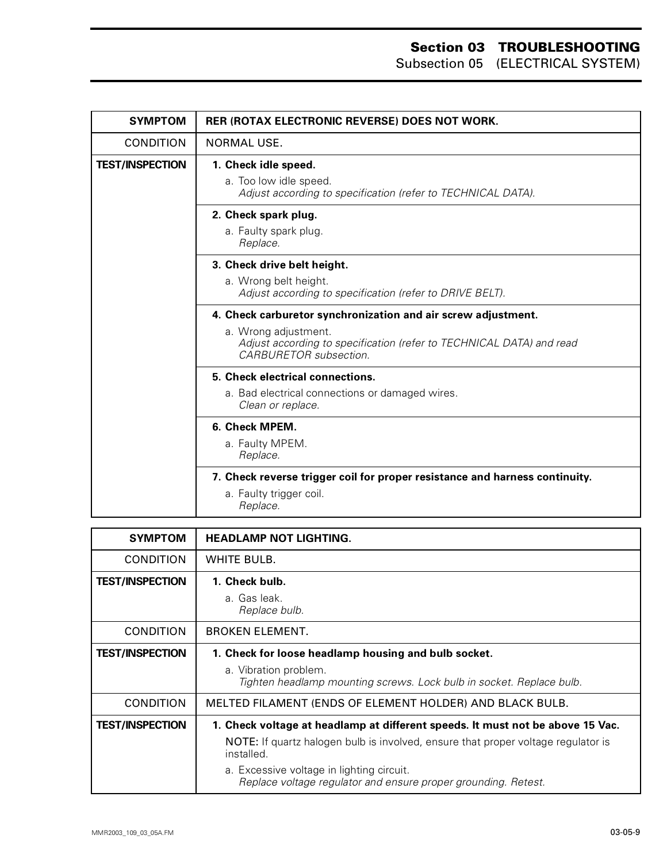| <b>SYMPTOM</b>         | RER (ROTAX ELECTRONIC REVERSE) DOES NOT WORK.                                                                                                                                          |
|------------------------|----------------------------------------------------------------------------------------------------------------------------------------------------------------------------------------|
| <b>CONDITION</b>       | NORMAL USE.                                                                                                                                                                            |
| <b>TEST/INSPECTION</b> | 1. Check idle speed.<br>a. Too low idle speed.<br>Adjust according to specification (refer to TECHNICAL DATA).                                                                         |
|                        | 2. Check spark plug.<br>a. Faulty spark plug.<br>Replace.                                                                                                                              |
|                        | 3. Check drive belt height.<br>a. Wrong belt height.<br>Adjust according to specification (refer to DRIVE BELT).                                                                       |
|                        | 4. Check carburetor synchronization and air screw adjustment.<br>a. Wrong adjustment.<br>Adjust according to specification (refer to TECHNICAL DATA) and read<br>CARBURFTOR subsection |
|                        | 5. Check electrical connections.<br>a. Bad electrical connections or damaged wires.<br>Clean or replace.                                                                               |
|                        | 6. Check MPEM.<br>a. Faulty MPEM.<br>Replace.                                                                                                                                          |
|                        | 7. Check reverse trigger coil for proper resistance and harness continuity.<br>a. Faulty trigger coil.<br>Replace.                                                                     |

| <b>SYMPTOM</b>         | <b>HEADLAMP NOT LIGHTING.</b>                                                                                                                                                                                                                                                                           |
|------------------------|---------------------------------------------------------------------------------------------------------------------------------------------------------------------------------------------------------------------------------------------------------------------------------------------------------|
| <b>CONDITION</b>       | WHITE BULB.                                                                                                                                                                                                                                                                                             |
| <b>TEST/INSPECTION</b> | 1. Check bulb.<br>a. Gas leak.<br>Replace bulb.                                                                                                                                                                                                                                                         |
| <b>CONDITION</b>       | <b>BROKEN ELEMENT.</b>                                                                                                                                                                                                                                                                                  |
| <b>TEST/INSPECTION</b> | 1. Check for loose headlamp housing and bulb socket.<br>a. Vibration problem.<br>Tighten headlamp mounting screws. Lock bulb in socket. Replace bulb.                                                                                                                                                   |
| <b>CONDITION</b>       | MELTED FILAMENT (ENDS OF ELEMENT HOLDER) AND BLACK BULB.                                                                                                                                                                                                                                                |
| <b>TEST/INSPECTION</b> | 1. Check voltage at headlamp at different speeds. It must not be above 15 Vac.<br><b>NOTE:</b> If quartz halogen bulb is involved, ensure that proper voltage regulator is<br>installed.<br>a. Excessive voltage in lighting circuit.<br>Replace voltage regulator and ensure proper grounding. Retest. |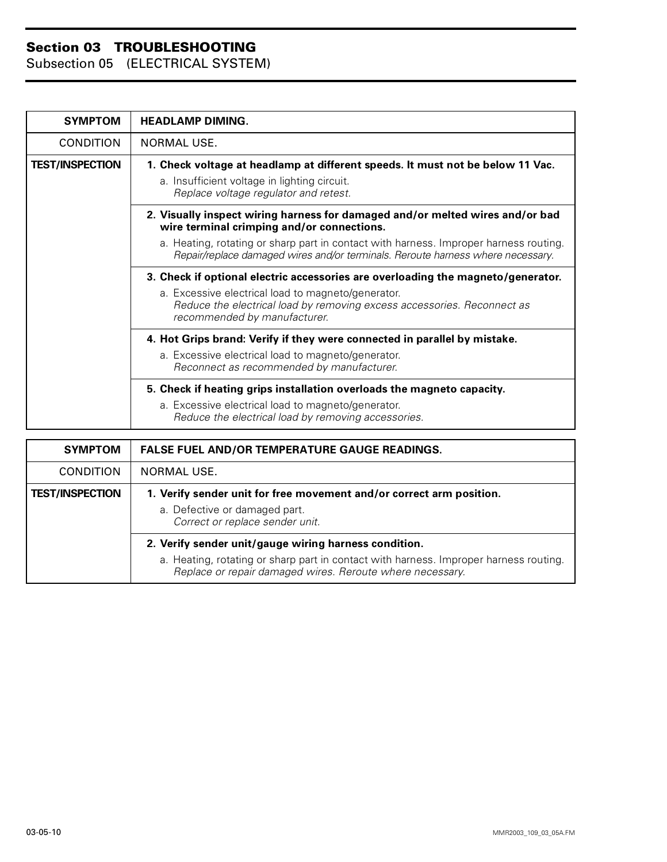| <b>SYMPTOM</b>         | <b>HEADLAMP DIMING.</b>                                                                                                                                                  |
|------------------------|--------------------------------------------------------------------------------------------------------------------------------------------------------------------------|
| <b>CONDITION</b>       | NORMAL USE.                                                                                                                                                              |
| <b>TEST/INSPECTION</b> | 1. Check voltage at headlamp at different speeds. It must not be below 11 Vac.<br>a. Insufficient voltage in lighting circuit.<br>Replace voltage regulator and retest.  |
|                        | 2. Visually inspect wiring harness for damaged and/or melted wires and/or bad<br>wire terminal crimping and/or connections.                                              |
|                        | a. Heating, rotating or sharp part in contact with harness. Improper harness routing.<br>Repair/replace damaged wires and/or terminals. Reroute harness where necessary. |
|                        | 3. Check if optional electric accessories are overloading the magneto/generator.                                                                                         |
|                        | a. Excessive electrical load to magneto/generator.<br>Reduce the electrical load by removing excess accessories. Reconnect as<br>recommended by manufacturer.            |
|                        | 4. Hot Grips brand: Verify if they were connected in parallel by mistake.                                                                                                |
|                        | a. Excessive electrical load to magneto/generator.<br>Reconnect as recommended by manufacturer.                                                                          |
|                        | 5. Check if heating grips installation overloads the magneto capacity.                                                                                                   |
|                        | a. Excessive electrical load to magneto/generator.<br>Reduce the electrical load by removing accessories.                                                                |

| <b>SYMPTOM</b>         | <b>FALSE FUEL AND/OR TEMPERATURE GAUGE READINGS.</b>                                                                                               |
|------------------------|----------------------------------------------------------------------------------------------------------------------------------------------------|
| <b>CONDITION</b>       | NORMAL USE.                                                                                                                                        |
| <b>TEST/INSPECTION</b> | 1. Verify sender unit for free movement and/or correct arm position.                                                                               |
|                        | a. Defective or damaged part.<br>Correct or replace sender unit.                                                                                   |
|                        | 2. Verify sender unit/gauge wiring harness condition.                                                                                              |
|                        | a. Heating, rotating or sharp part in contact with harness. Improper harness routing.<br>Replace or repair damaged wires. Reroute where necessary. |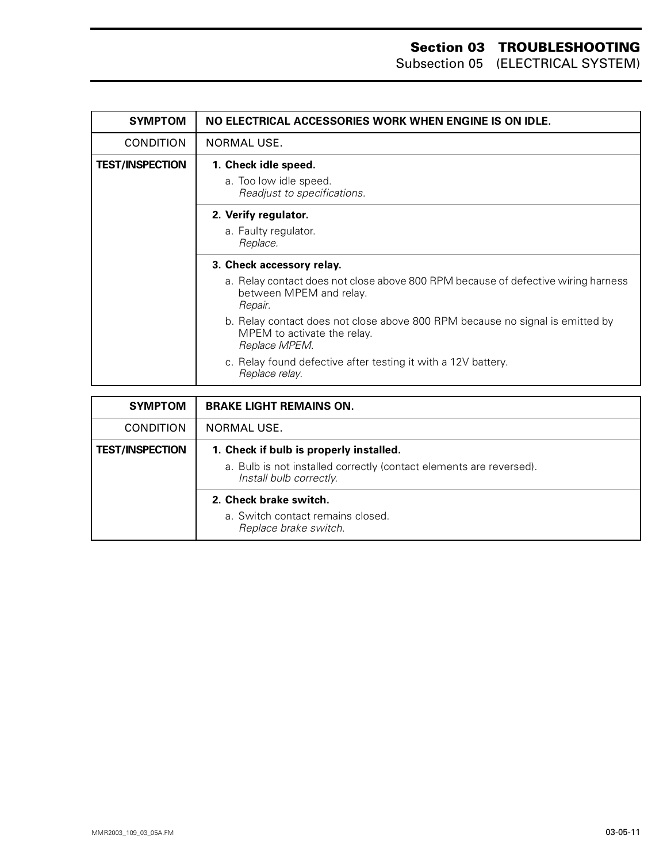| <b>SYMPTOM</b>         | NO ELECTRICAL ACCESSORIES WORK WHEN ENGINE IS ON IDLE.                                                                        |
|------------------------|-------------------------------------------------------------------------------------------------------------------------------|
| <b>CONDITION</b>       | <b>NORMAL USE.</b>                                                                                                            |
| <b>TEST/INSPECTION</b> | 1. Check idle speed.                                                                                                          |
|                        | a. Too low idle speed.<br>Readjust to specifications.                                                                         |
|                        | 2. Verify regulator.                                                                                                          |
|                        | a. Faulty regulator.<br>Replace.                                                                                              |
|                        | 3. Check accessory relay.                                                                                                     |
|                        | a. Relay contact does not close above 800 RPM because of defective wiring harness<br>between MPEM and relay.<br>Repair.       |
|                        | b. Relay contact does not close above 800 RPM because no signal is emitted by<br>MPEM to activate the relay.<br>Replace MPEM. |
|                        | c. Relay found defective after testing it with a 12V battery.<br>Replace relay.                                               |

| <b>SYMPTOM</b>         | <b>BRAKE LIGHT REMAINS ON.</b>                                                                                 |
|------------------------|----------------------------------------------------------------------------------------------------------------|
| <b>CONDITION</b>       | NORMAL USE.                                                                                                    |
| <b>TEST/INSPECTION</b> | 1. Check if bulb is properly installed.<br>a. Bulb is not installed correctly (contact elements are reversed). |
|                        | Install bulb correctly.<br>2. Check brake switch.                                                              |
|                        | a. Switch contact remains closed.<br>Replace brake switch.                                                     |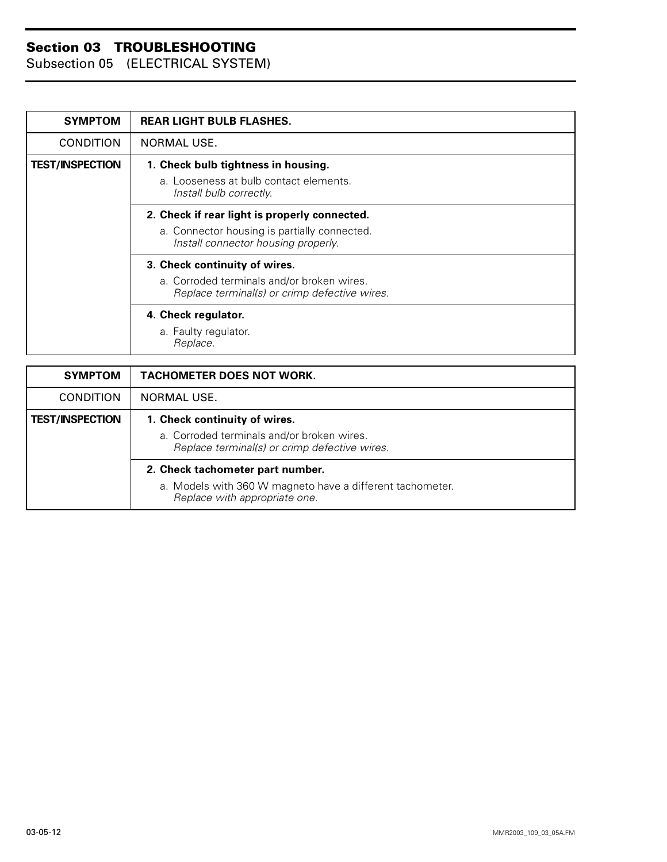| <b>SYMPTOM</b>         | <b>REAR LIGHT BULB FLASHES.</b>                                                                                                      |
|------------------------|--------------------------------------------------------------------------------------------------------------------------------------|
| <b>CONDITION</b>       | NORMAL USE.                                                                                                                          |
| <b>TEST/INSPECTION</b> | 1. Check bulb tightness in housing.<br>a. Looseness at bulb contact elements.<br>Install bulb correctly.                             |
|                        | 2. Check if rear light is properly connected.<br>a. Connector housing is partially connected.<br>Install connector housing properly. |
|                        | 3. Check continuity of wires.<br>a. Corroded terminals and/or broken wires.<br>Replace terminal(s) or crimp defective wires.         |
|                        | 4. Check regulator.<br>a. Faulty regulator.<br>Replace.                                                                              |

| <b>SYMPTOM</b>         | <b>TACHOMETER DOES NOT WORK.</b>                                                            |
|------------------------|---------------------------------------------------------------------------------------------|
| <b>CONDITION</b>       | NORMAL USE.                                                                                 |
| <b>TEST/INSPECTION</b> | 1. Check continuity of wires.                                                               |
|                        | a. Corroded terminals and/or broken wires.<br>Replace terminal(s) or crimp defective wires. |
|                        | 2. Check tachometer part number.                                                            |
|                        | a. Models with 360 W magneto have a different tachometer.<br>Replace with appropriate one.  |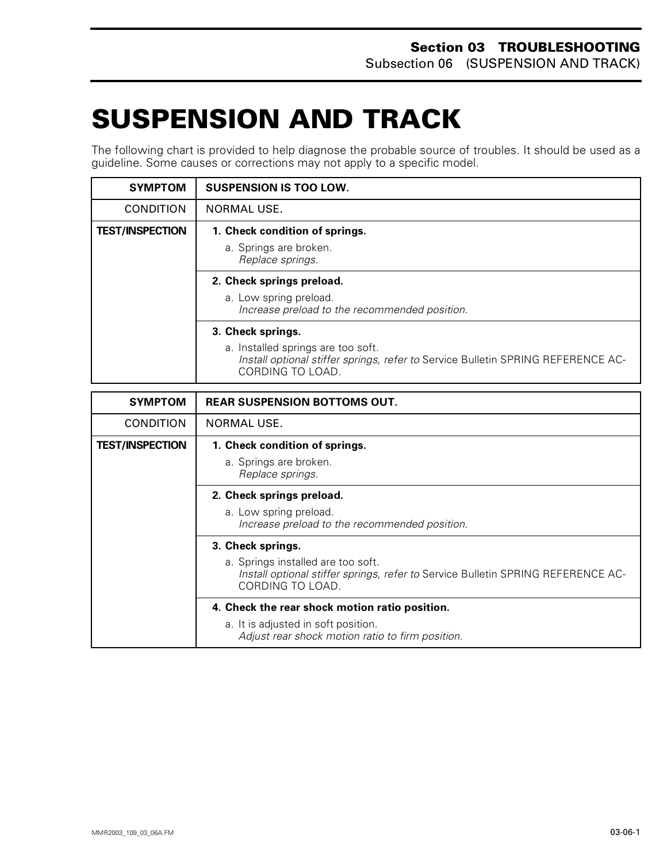# <span id="page-37-0"></span>**SUSPENSION AND TRACK 0**

The following chart is provided to help diagnose the probable source of troubles. It should be used as a guideline. Some causes or corrections may not apply to a specific model.

| <b>SYMPTOM</b>         | <b>SUSPENSION IS TOO LOW.</b>                                                                                                                                   |
|------------------------|-----------------------------------------------------------------------------------------------------------------------------------------------------------------|
| <b>CONDITION</b>       | NORMAL USE.                                                                                                                                                     |
| <b>TEST/INSPECTION</b> | 1. Check condition of springs.<br>a. Springs are broken.<br>Replace springs.                                                                                    |
|                        | 2. Check springs preload.<br>a. Low spring preload.<br>Increase preload to the recommended position.                                                            |
|                        | 3. Check springs.<br>a. Installed springs are too soft.<br>Install optional stiffer springs, refer to Service Bulletin SPRING REFERENCE AC-<br>CORDING TO LOAD. |

| <b>SYMPTOM</b>         | <b>REAR SUSPENSION BOTTOMS OUT.</b>                                                                                                        |
|------------------------|--------------------------------------------------------------------------------------------------------------------------------------------|
| <b>CONDITION</b>       | NORMAL USE.                                                                                                                                |
| <b>TEST/INSPECTION</b> | 1. Check condition of springs.                                                                                                             |
|                        | a. Springs are broken.<br>Replace springs.                                                                                                 |
|                        | 2. Check springs preload.                                                                                                                  |
|                        | a. Low spring preload.<br>Increase preload to the recommended position.                                                                    |
|                        | 3. Check springs.                                                                                                                          |
|                        | a. Springs installed are too soft.<br>Install optional stiffer springs, refer to Service Bulletin SPRING REFERENCE AC-<br>CORDING TO LOAD. |
|                        | 4. Check the rear shock motion ratio position.                                                                                             |
|                        | a. It is adjusted in soft position.<br>Adjust rear shock motion ratio to firm position.                                                    |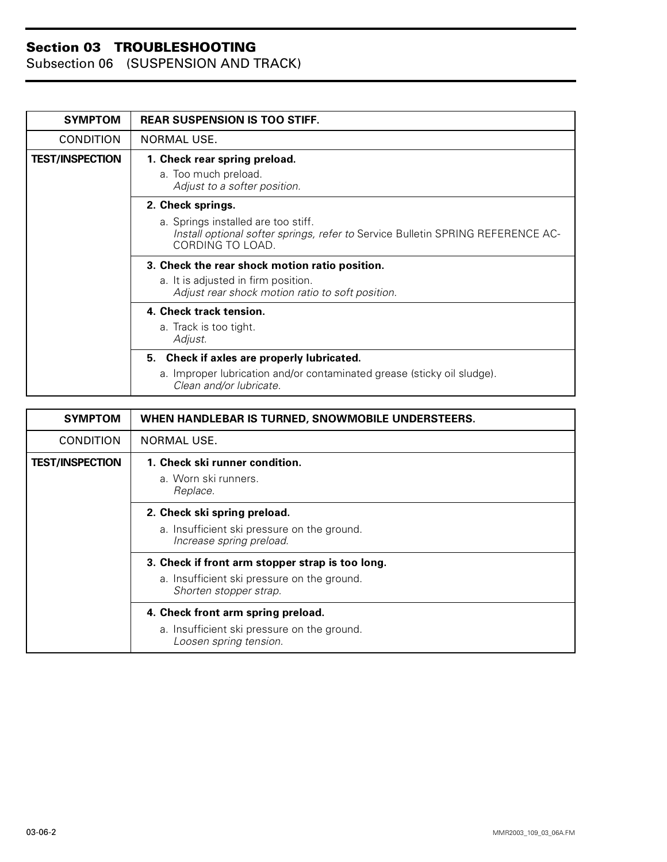| <b>SYMPTOM</b>         | <b>REAR SUSPENSION IS TOO STIFF.</b>                                                                                                       |
|------------------------|--------------------------------------------------------------------------------------------------------------------------------------------|
| <b>CONDITION</b>       | NORMAL USE.                                                                                                                                |
| <b>TEST/INSPECTION</b> | 1. Check rear spring preload.<br>a. Too much preload.<br>Adjust to a softer position.                                                      |
|                        | 2. Check springs.                                                                                                                          |
|                        | a. Springs installed are too stiff.<br>Install optional softer springs, refer to Service Bulletin SPRING REFERENCE AC-<br>CORDING TO LOAD. |
|                        | 3. Check the rear shock motion ratio position.                                                                                             |
|                        | a. It is adjusted in firm position.<br>Adjust rear shock motion ratio to soft position.                                                    |
|                        | 4. Check track tension.                                                                                                                    |
|                        | a. Track is too tight.<br>Adjust.                                                                                                          |
|                        | 5. Check if axles are properly lubricated.                                                                                                 |
|                        | a. Improper lubrication and/or contaminated grease (sticky oil sludge).<br>Clean and/or lubricate.                                         |

| <b>SYMPTOM</b>         | WHEN HANDLEBAR IS TURNED, SNOWMOBILE UNDERSTEERS.                                                                         |
|------------------------|---------------------------------------------------------------------------------------------------------------------------|
| <b>CONDITION</b>       | NORMAL USE.                                                                                                               |
| <b>TEST/INSPECTION</b> | 1. Check ski runner condition.<br>a. Worn ski runners.<br>Replace.                                                        |
|                        | 2. Check ski spring preload.<br>a. Insufficient ski pressure on the ground.<br>Increase spring preload.                   |
|                        | 3. Check if front arm stopper strap is too long.<br>a. Insufficient ski pressure on the ground.<br>Shorten stopper strap. |
|                        | 4. Check front arm spring preload.<br>a. Insufficient ski pressure on the ground.<br>Loosen spring tension.               |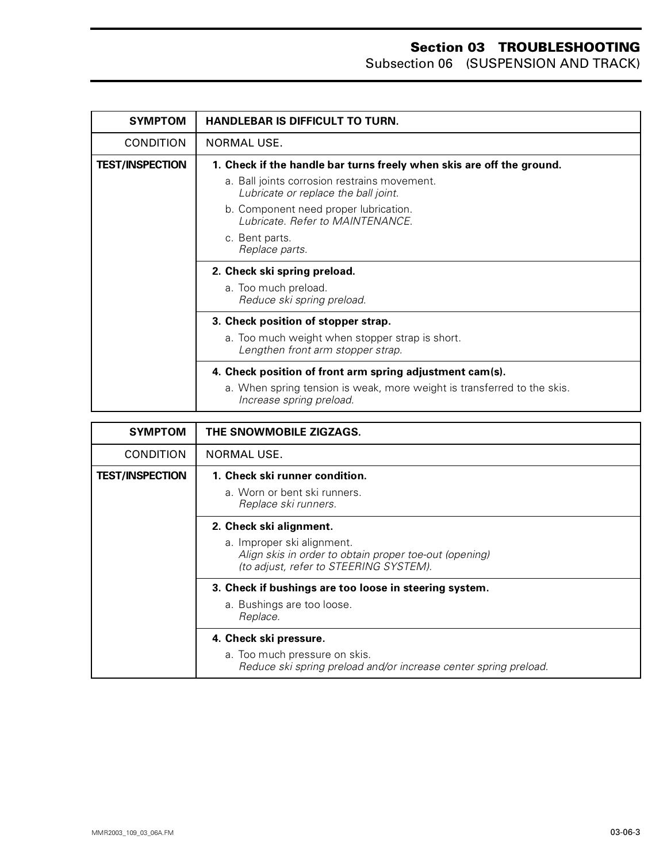| <b>SYMPTOM</b>         | <b>HANDLEBAR IS DIFFICULT TO TURN.</b>                                                              |
|------------------------|-----------------------------------------------------------------------------------------------------|
| <b>CONDITION</b>       | NORMAL USE.                                                                                         |
| <b>TEST/INSPECTION</b> | 1. Check if the handle bar turns freely when skis are off the ground.                               |
|                        | a. Ball joints corrosion restrains movement.<br>Lubricate or replace the ball joint.                |
|                        | b. Component need proper lubrication.<br>Lubricate, Refer to MAINTENANCE.                           |
|                        | c. Bent parts.<br>Replace parts.                                                                    |
|                        | 2. Check ski spring preload.                                                                        |
|                        | a. Too much preload.<br>Reduce ski spring preload.                                                  |
|                        | 3. Check position of stopper strap.                                                                 |
|                        | a. Too much weight when stopper strap is short.<br>Lengthen front arm stopper strap.                |
|                        | 4. Check position of front arm spring adjustment cam(s).                                            |
|                        | a. When spring tension is weak, more weight is transferred to the skis.<br>Increase spring preload. |

| <b>SYMPTOM</b>         | THE SNOWMOBILE ZIGZAGS.                                                                                                                                   |
|------------------------|-----------------------------------------------------------------------------------------------------------------------------------------------------------|
| <b>CONDITION</b>       | NORMAL USE.                                                                                                                                               |
| <b>TEST/INSPECTION</b> | 1. Check ski runner condition.<br>a. Worn or bent ski runners.<br>Replace ski runners.                                                                    |
|                        | 2. Check ski alignment.<br>a. Improper ski alignment.<br>Align skis in order to obtain proper toe-out (opening)<br>(to adjust, refer to STEERING SYSTEM). |
|                        | 3. Check if bushings are too loose in steering system.<br>a. Bushings are too loose.<br>Replace.                                                          |
|                        | 4. Check ski pressure.<br>a. Too much pressure on skis.<br>Reduce ski spring preload and/or increase center spring preload.                               |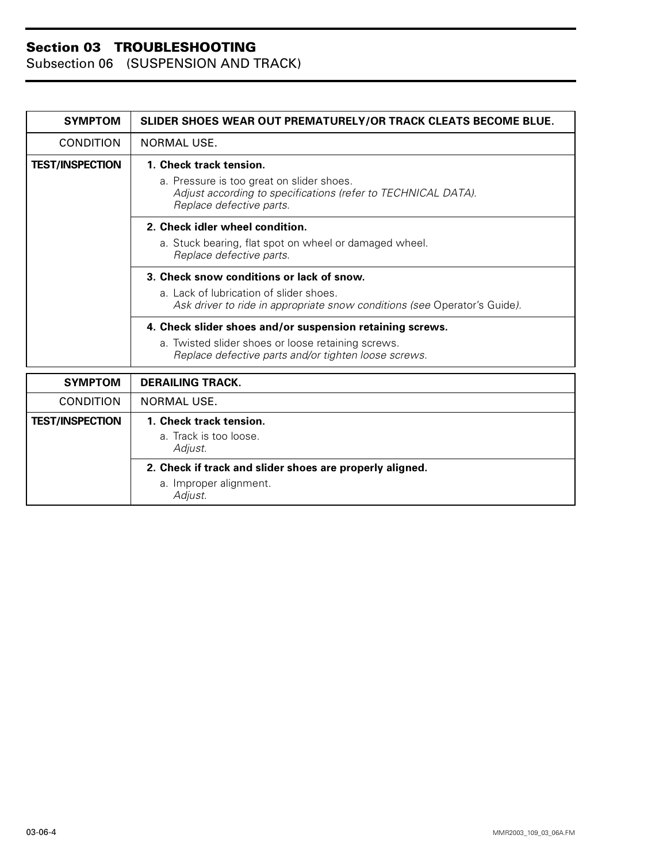| <b>SYMPTOM</b>         | SLIDER SHOES WEAR OUT PREMATURELY/OR TRACK CLEATS BECOME BLUE.                                                                                                          |
|------------------------|-------------------------------------------------------------------------------------------------------------------------------------------------------------------------|
| CONDITION              | NORMAL USE.                                                                                                                                                             |
| <b>TEST/INSPECTION</b> | 1. Check track tension.<br>a. Pressure is too great on slider shoes.<br>Adjust according to specifications (refer to TECHNICAL DATA).<br>Replace defective parts.       |
|                        | 2. Check idler wheel condition.<br>a. Stuck bearing, flat spot on wheel or damaged wheel.<br>Replace defective parts.                                                   |
|                        | 3. Check snow conditions or lack of snow.<br>a. Lack of lubrication of slider shoes.<br>Ask driver to ride in appropriate snow conditions (see Operator's Guide).       |
|                        | 4. Check slider shoes and/or suspension retaining screws.<br>a. Twisted slider shoes or loose retaining screws.<br>Replace defective parts and/or tighten loose screws. |
| <b>SYMPTOM</b>         | <b>DERAILING TRACK.</b>                                                                                                                                                 |
| <b>CONDITION</b>       | NORMAL USE.                                                                                                                                                             |
| <b>TEST/INSPECTION</b> | 1. Check track tension.<br>a. Track is too loose.<br>Adjust.                                                                                                            |
|                        | 2. Check if track and slider shoes are properly aligned.<br>a. Improper alignment.<br>Adjust.                                                                           |